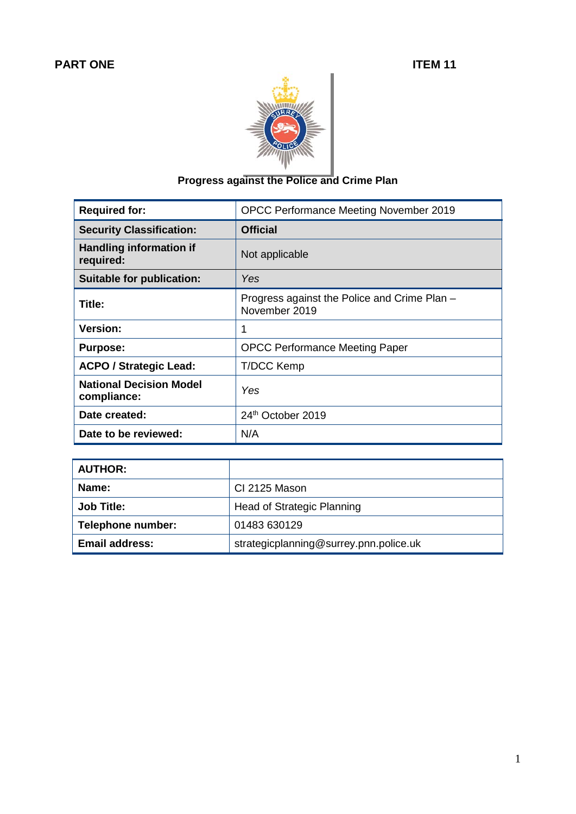

## **Progress against the Police and Crime Plan**

| <b>Required for:</b>                          | OPCC Performance Meeting November 2019                        |
|-----------------------------------------------|---------------------------------------------------------------|
| <b>Security Classification:</b>               | <b>Official</b>                                               |
| <b>Handling information if</b><br>required:   | Not applicable                                                |
| <b>Suitable for publication:</b>              | Yes                                                           |
| Title:                                        | Progress against the Police and Crime Plan -<br>November 2019 |
| <b>Version:</b>                               | 1                                                             |
| <b>Purpose:</b>                               | <b>OPCC Performance Meeting Paper</b>                         |
| <b>ACPO / Strategic Lead:</b>                 | <b>T/DCC Kemp</b>                                             |
| <b>National Decision Model</b><br>compliance: | Yes                                                           |
| Date created:                                 | 24th October 2019                                             |
| Date to be reviewed:                          | N/A                                                           |

| <b>AUTHOR:</b>        |                                        |
|-----------------------|----------------------------------------|
| Name:                 | CI 2125 Mason                          |
| <b>Job Title:</b>     | Head of Strategic Planning             |
| Telephone number:     | 01483 630129                           |
| <b>Email address:</b> | strategicplanning@surrey.pnn.police.uk |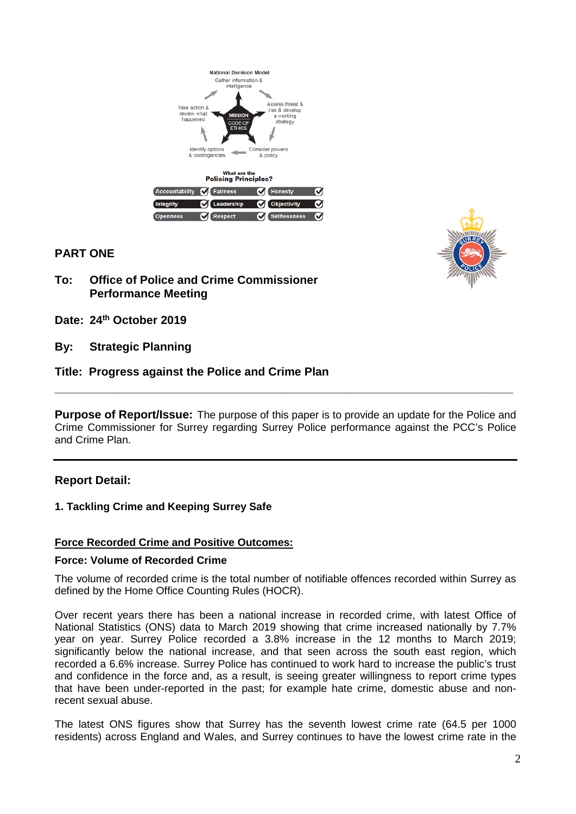



### **PART ONE**

- **To: Office of Police and Crime Commissioner Performance Meeting**
- **Date: 24th October 2019**
- **By: Strategic Planning**

#### **Title: Progress against the Police and Crime Plan**

**Purpose of Report/Issue:** The purpose of this paper is to provide an update for the Police and Crime Commissioner for Surrey regarding Surrey Police performance against the PCC's Police and Crime Plan.

**\_\_\_\_\_\_\_\_\_\_\_\_\_\_\_\_\_\_\_\_\_\_\_\_\_\_\_\_\_\_\_\_\_\_\_\_\_\_\_\_\_\_\_\_\_\_\_\_\_\_\_\_\_\_\_\_\_\_\_\_\_\_\_\_\_\_\_\_\_\_\_**

#### **Report Detail:**

#### **1. Tackling Crime and Keeping Surrey Safe**

#### **Force Recorded Crime and Positive Outcomes:**

#### **Force: Volume of Recorded Crime**

The volume of recorded crime is the total number of notifiable offences recorded within Surrey as defined by the Home Office Counting Rules (HOCR).

Over recent years there has been a national increase in recorded crime, with latest Office of National Statistics (ONS) data to March 2019 showing that crime increased nationally by 7.7% year on year. Surrey Police recorded a 3.8% increase in the 12 months to March 2019; significantly below the national increase, and that seen across the south east region, which recorded a 6.6% increase. Surrey Police has continued to work hard to increase the public's trust and confidence in the force and, as a result, is seeing greater willingness to report crime types that have been under-reported in the past; for example hate crime, domestic abuse and nonrecent sexual abuse.

The latest ONS figures show that Surrey has the seventh lowest crime rate (64.5 per 1000 residents) across England and Wales, and Surrey continues to have the lowest crime rate in the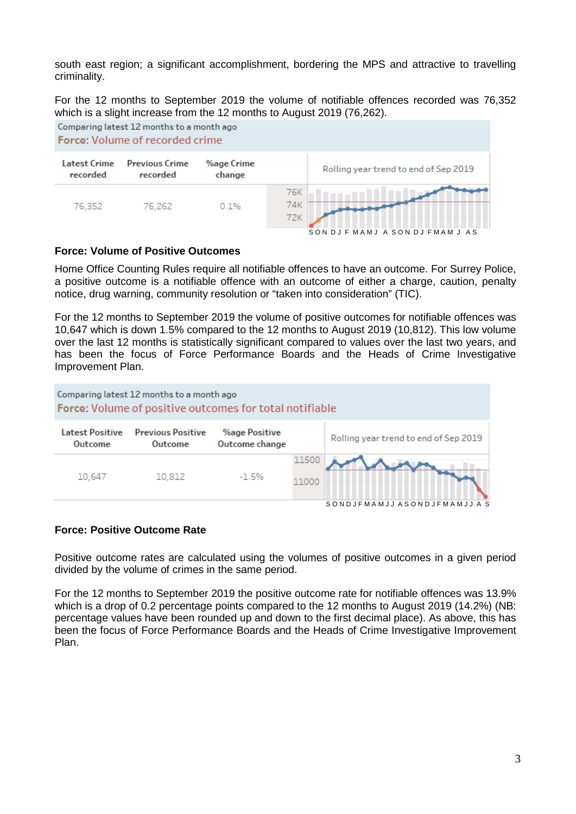south east region; a significant accomplishment, bordering the MPS and attractive to travelling criminality.

For the 12 months to September 2019 the volume of notifiable offences recorded was 76,352 which is a slight increase from the 12 months to August 2019 (76,262).



#### **Force: Volume of Positive Outcomes**

Home Office Counting Rules require all notifiable offences to have an outcome. For Surrey Police, a positive outcome is a notifiable offence with an outcome of either a charge, caution, penalty notice, drug warning, community resolution or "taken into consideration" (TIC).

For the 12 months to September 2019 the volume of positive outcomes for notifiable offences was 10,647 which is down 1.5% compared to the 12 months to August 2019 (10,812). This low volume over the last 12 months is statistically significant compared to values over the last two years, and has been the focus of Force Performance Boards and the Heads of Crime Investigative Improvement Plan.



#### **Force: Positive Outcome Rate**

Positive outcome rates are calculated using the volumes of positive outcomes in a given period divided by the volume of crimes in the same period.

For the 12 months to September 2019 the positive outcome rate for notifiable offences was 13.9% which is a drop of 0.2 percentage points compared to the 12 months to August 2019 (14.2%) (NB: percentage values have been rounded up and down to the first decimal place). As above, this has been the focus of Force Performance Boards and the Heads of Crime Investigative Improvement Plan.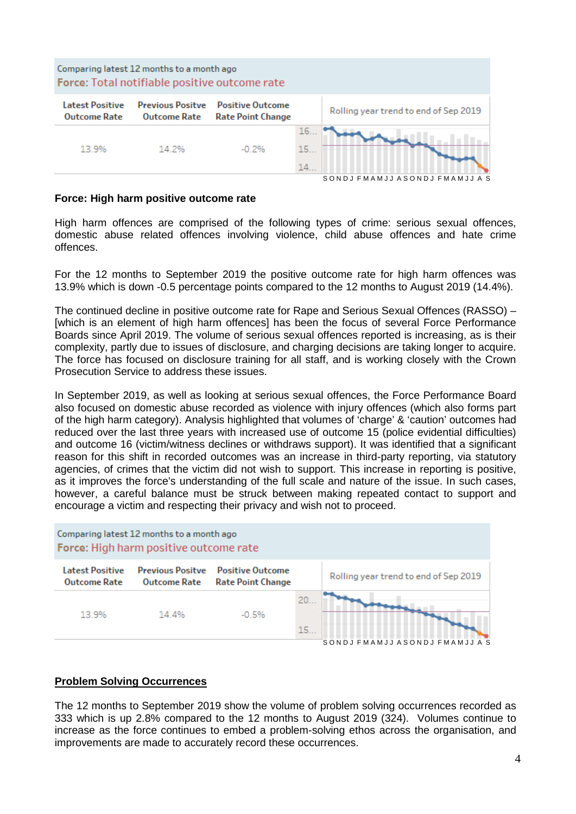

#### **Force: High harm positive outcome rate**

High harm offences are comprised of the following types of crime: serious sexual offences, domestic abuse related offences involving violence, child abuse offences and hate crime offences.

For the 12 months to September 2019 the positive outcome rate for high harm offences was 13.9% which is down -0.5 percentage points compared to the 12 months to August 2019 (14.4%).

The continued decline in positive outcome rate for Rape and Serious Sexual Offences (RASSO) – [which is an element of high harm offences] has been the focus of several Force Performance Boards since April 2019. The volume of serious sexual offences reported is increasing, as is their complexity, partly due to issues of disclosure, and charging decisions are taking longer to acquire. The force has focused on disclosure training for all staff, and is working closely with the Crown Prosecution Service to address these issues.

In September 2019, as well as looking at serious sexual offences, the Force Performance Board also focused on domestic abuse recorded as violence with injury offences (which also forms part of the high harm category). Analysis highlighted that volumes of 'charge' & 'caution' outcomes had reduced over the last three years with increased use of outcome 15 (police evidential difficulties) and outcome 16 (victim/witness declines or withdraws support). It was identified that a significant reason for this shift in recorded outcomes was an increase in third-party reporting, via statutory agencies, of crimes that the victim did not wish to support. This increase in reporting is positive, as it improves the force's understanding of the full scale and nature of the issue. In such cases, however, a careful balance must be struck between making repeated contact to support and encourage a victim and respecting their privacy and wish not to proceed.



#### **Problem Solving Occurrences**

The 12 months to September 2019 show the volume of problem solving occurrences recorded as 333 which is up 2.8% compared to the 12 months to August 2019 (324). Volumes continue to increase as the force continues to embed a problem-solving ethos across the organisation, and improvements are made to accurately record these occurrences.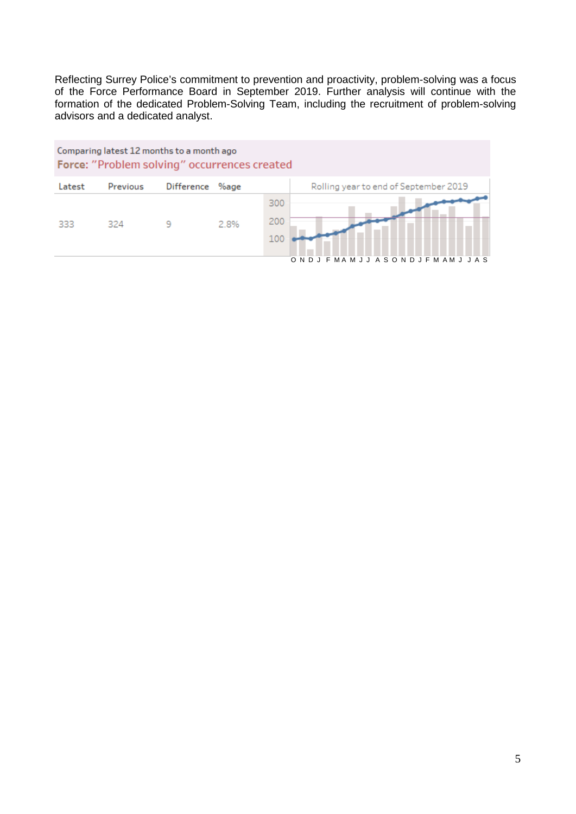Reflecting Surrey Police's commitment to prevention and proactivity, problem-solving was a focus of the Force Performance Board in September 2019. Further analysis will continue with the formation of the dedicated Problem-Solving Team, including the recruitment of problem-solving advisors and a dedicated analyst.

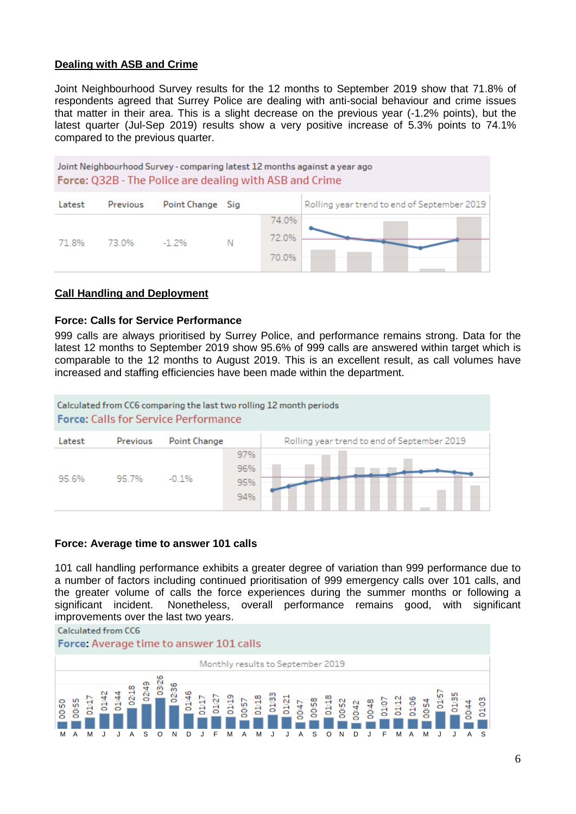#### **Dealing with ASB and Crime**

Joint Neighbourhood Survey results for the 12 months to September 2019 show that 71.8% of respondents agreed that Surrey Police are dealing with anti-social behaviour and crime issues that matter in their area. This is a slight decrease on the previous year (-1.2% points), but the latest quarter (Jul-Sep 2019) results show a very positive increase of 5.3% points to 74.1% compared to the previous quarter.



#### **Call Handling and Deployment**

#### **Force: Calls for Service Performance**

999 calls are always prioritised by Surrey Police, and performance remains strong. Data for the latest 12 months to September 2019 show 95.6% of 999 calls are answered within target which is comparable to the 12 months to August 2019. This is an excellent result, as call volumes have increased and staffing efficiencies have been made within the department.



#### **Force: Average time to answer 101 calls**

101 call handling performance exhibits a greater degree of variation than 999 performance due to a number of factors including continued prioritisation of 999 emergency calls over 101 calls, and the greater volume of calls the force experiences during the summer months or following a significant incident. Nonetheless, overall performance remains good, with significant improvements over the last two years.

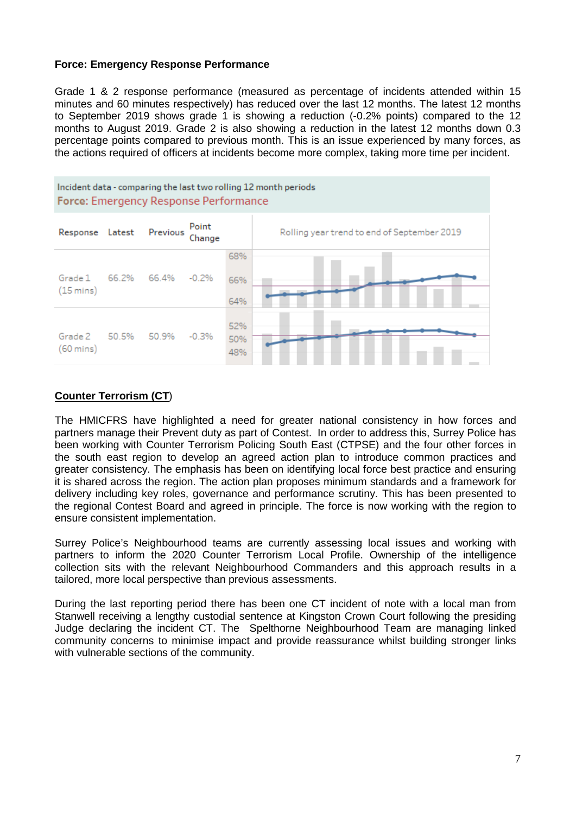#### **Force: Emergency Response Performance**

Grade 1 & 2 response performance (measured as percentage of incidents attended within 15 minutes and 60 minutes respectively) has reduced over the last 12 months. The latest 12 months to September 2019 shows grade 1 is showing a reduction (-0.2% points) compared to the 12 months to August 2019. Grade 2 is also showing a reduction in the latest 12 months down 0.3 percentage points compared to previous month. This is an issue experienced by many forces, as the actions required of officers at incidents become more complex, taking more time per incident.



#### **Counter Terrorism (CT**)

The HMICFRS have highlighted a need for greater national consistency in how forces and partners manage their Prevent duty as part of Contest. In order to address this, Surrey Police has been working with Counter Terrorism Policing South East (CTPSE) and the four other forces in the south east region to develop an agreed action plan to introduce common practices and greater consistency. The emphasis has been on identifying local force best practice and ensuring it is shared across the region. The action plan proposes minimum standards and a framework for delivery including key roles, governance and performance scrutiny. This has been presented to the regional Contest Board and agreed in principle. The force is now working with the region to ensure consistent implementation.

Surrey Police's Neighbourhood teams are currently assessing local issues and working with partners to inform the 2020 Counter Terrorism Local Profile. Ownership of the intelligence collection sits with the relevant Neighbourhood Commanders and this approach results in a tailored, more local perspective than previous assessments.

During the last reporting period there has been one CT incident of note with a local man from Stanwell receiving a lengthy custodial sentence at Kingston Crown Court following the presiding Judge declaring the incident CT. The Spelthorne Neighbourhood Team are managing linked community concerns to minimise impact and provide reassurance whilst building stronger links with vulnerable sections of the community.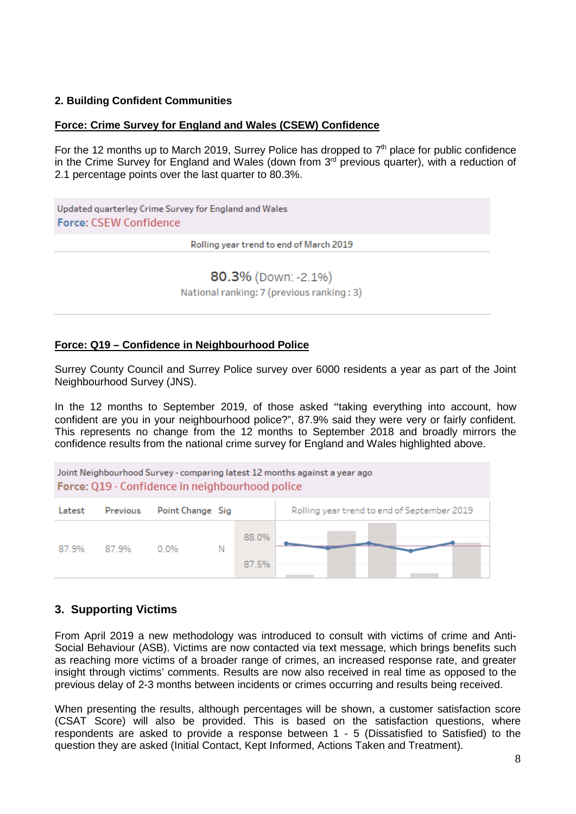#### **2. Building Confident Communities**

#### **Force: Crime Survey for England and Wales (CSEW) Confidence**

For the 12 months up to March 2019, Surrey Police has dropped to  $7<sup>th</sup>$  place for public confidence in the Crime Survey for England and Wales (down from  $3<sup>rd</sup>$  previous quarter), with a reduction of 2.1 percentage points over the last quarter to 80.3%.

Updated quarterley Crime Survey for England and Wales **Force: CSEW Confidence** 

Rolling year trend to end of March 2019

80.3% (Down: -2.1%)

National ranking: 7 (previous ranking: 3)

#### **Force: Q19 – Confidence in Neighbourhood Police**

Surrey County Council and Surrey Police survey over 6000 residents a year as part of the Joint Neighbourhood Survey (JNS).

In the 12 months to September 2019, of those asked "taking everything into account, how confident are you in your neighbourhood police?", 87.9% said they were very or fairly confident. This represents no change from the 12 months to September 2018 and broadly mirrors the confidence results from the national crime survey for England and Wales highlighted above.

Joint Neighbourhood Survey - comparing latest 12 months against a year ago Force: Q19 - Confidence in neighbourhood police

| Latest | Previous | Point Change Sig |  |                | Rolling year trend to end of September 2019 |
|--------|----------|------------------|--|----------------|---------------------------------------------|
| 87.9%  | 87.9%    | 0.0%             |  | 88.0%<br>87.5% |                                             |

#### **3. Supporting Victims**

From April 2019 a new methodology was introduced to consult with victims of crime and Anti-Social Behaviour (ASB). Victims are now contacted via text message, which brings benefits such as reaching more victims of a broader range of crimes, an increased response rate, and greater insight through victims' comments. Results are now also received in real time as opposed to the previous delay of 2-3 months between incidents or crimes occurring and results being received.

When presenting the results, although percentages will be shown, a customer satisfaction score (CSAT Score) will also be provided. This is based on the satisfaction questions, where respondents are asked to provide a response between 1 - 5 (Dissatisfied to Satisfied) to the question they are asked (Initial Contact, Kept Informed, Actions Taken and Treatment).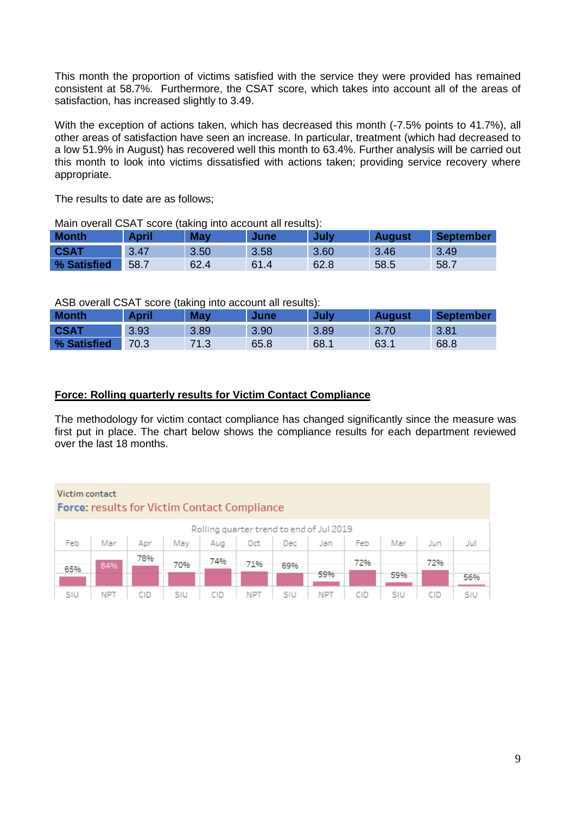This month the proportion of victims satisfied with the service they were provided has remained consistent at 58.7%. Furthermore, the CSAT score, which takes into account all of the areas of satisfaction, has increased slightly to 3.49.

With the exception of actions taken, which has decreased this month (-7.5% points to 41.7%), all other areas of satisfaction have seen an increase. In particular, treatment (which had decreased to a low 51.9% in August) has recovered well this month to 63.4%. Further analysis will be carried out this month to look into victims dissatisfied with actions taken; providing service recovery where appropriate.

The results to date are as follows;

Main overall CSAT score (taking into account all results):

| <b>Month</b> | April | <b>May</b> | June | July | August | September |
|--------------|-------|------------|------|------|--------|-----------|
| <b>CSAT</b>  | 3.47  | 3.50       | 3.58 | 3.60 | 3.46   | 3.49      |
| % Satisfied  | 58.7  | 62.4       | 61.4 | 62.8 | 58.5   | 58.7      |

ASB overall CSAT score (taking into account all results):

 $\mathbf{v}$  and  $\mathbf{v}$  and  $\mathbf{v}$  and  $\mathbf{v}$  and  $\mathbf{v}$ 

| <b>Month</b> | <b>April</b> | ີ<br>May | June | July | <b>August</b> | <b>September</b> |
|--------------|--------------|----------|------|------|---------------|------------------|
| <b>CSAT</b>  | 3.93         | 3.89     | 3.90 | 3.89 | 3.70          | 3.81             |
| % Satisfied  | 70.3         | 71.3     | 65.8 | 68.1 | 63.1          | 68.8             |

#### **Force: Rolling quarterly results for Victim Contact Compliance**

The methodology for victim contact compliance has changed significantly since the measure was first put in place. The chart below shows the compliance results for each department reviewed over the last 18 months.

#### **Victim contact Contract Contract**

|     | <b>Force:</b> results for victim contact compliance |     |     |     |            |     |                 |              |      |     |     |
|-----|-----------------------------------------------------|-----|-----|-----|------------|-----|-----------------|--------------|------|-----|-----|
|     | Rolling quarter trend to end of Jul 2019            |     |     |     |            |     |                 |              |      |     |     |
| Feb | Mar                                                 | Apr | May |     |            |     | Aug Oct Dec Jan | Feb          | Mar  | Jun | Jul |
|     |                                                     | 78% | 70% | 74% | '1%        | 69% |                 | 72%          |      | 72% |     |
|     | 84%                                                 |     |     |     |            |     | 59%             | . <b>.</b> . | '59% |     |     |
| SIU | <b>NPT</b>                                          | CID | SIU | CID | <b>NPT</b> | SIU | <b>NPT</b>      | CID          | SIU  | CID | SIU |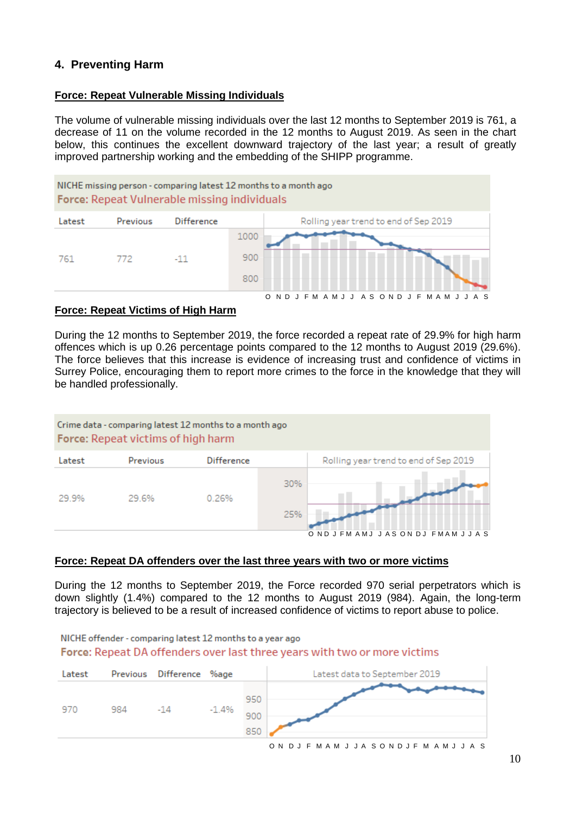### **4. Preventing Harm**

#### **Force: Repeat Vulnerable Missing Individuals**

The volume of vulnerable missing individuals over the last 12 months to September 2019 is 761, a decrease of 11 on the volume recorded in the 12 months to August 2019. As seen in the chart below, this continues the excellent downward trajectory of the last year; a result of greatly improved partnership working and the embedding of the SHIPP programme.



#### **Force: Repeat Victims of High Harm**

During the 12 months to September 2019, the force recorded a repeat rate of 29.9% for high harm offences which is up 0.26 percentage points compared to the 12 months to August 2019 (29.6%). The force believes that this increase is evidence of increasing trust and confidence of victims in Surrey Police, encouraging them to report more crimes to the force in the knowledge that they will be handled professionally.



#### **Force: Repeat DA offenders over the last three years with two or more victims**

During the 12 months to September 2019, the Force recorded 970 serial perpetrators which is down slightly (1.4%) compared to the 12 months to August 2019 (984). Again, the long-term trajectory is believed to be a result of increased confidence of victims to report abuse to police.

NICHE offender - comparing latest 12 months to a year ago Force: Repeat DA offenders over last three years with two or more victims

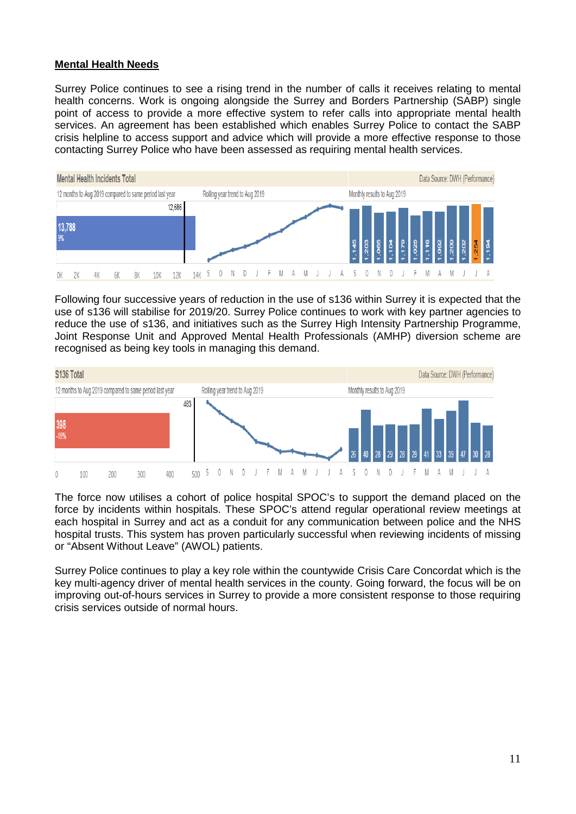#### **Mental Health Needs**

Surrey Police continues to see a rising trend in the number of calls it receives relating to mental health concerns. Work is ongoing alongside the Surrey and Borders Partnership (SABP) single point of access to provide a more effective system to refer calls into appropriate mental health services. An agreement has been established which enables Surrey Police to contact the SABP crisis helpline to access support and advice which will provide a more effective response to those contacting Surrey Police who have been assessed as requiring mental health services.



Following four successive years of reduction in the use of s136 within Surrey it is expected that the use of s136 will stabilise for 2019/20. Surrey Police continues to work with key partner agencies to reduce the use of s136, and initiatives such as the Surrey High Intensity Partnership Programme, Joint Response Unit and Approved Mental Health Professionals (AMHP) diversion scheme are recognised as being key tools in managing this demand.



The force now utilises a cohort of police hospital SPOC's to support the demand placed on the force by incidents within hospitals. These SPOC's attend regular operational review meetings at each hospital in Surrey and act as a conduit for any communication between police and the NHS hospital trusts. This system has proven particularly successful when reviewing incidents of missing or "Absent Without Leave" (AWOL) patients.

Surrey Police continues to play a key role within the countywide Crisis Care Concordat which is the key multi-agency driver of mental health services in the county. Going forward, the focus will be on improving out-of-hours services in Surrey to provide a more consistent response to those requiring crisis services outside of normal hours.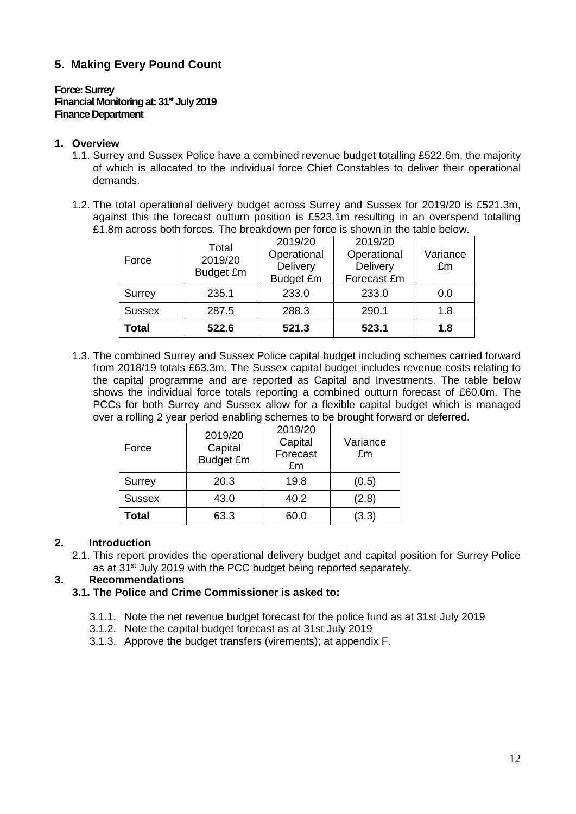### **5. Making Every Pound Count**

#### **Force: Surrey Financial Monitoring at: 31<sup>st</sup> July 2019 Finance Department**

#### **1. Overview**

- 1.1. Surrey and Sussex Police have a combined revenue budget totalling £522.6m, the majority of which is allocated to the individual force Chief Constables to deliver their operational demands.
- 1.2. The total operational delivery budget across Surrey and Sussex for 2019/20 is £521.3m, against this the forecast outturn position is £523.1m resulting in an overspend totalling £1.8m across both forces. The breakdown per force is shown in the table below.

| <b>Total</b>  | 522.6                         | 521.3                                                  | 523.1                                             | 1.8                        |
|---------------|-------------------------------|--------------------------------------------------------|---------------------------------------------------|----------------------------|
| <b>Sussex</b> | 287.5                         | 288.3                                                  | 290.1                                             | 1.8                        |
| Surrey        | 235.1                         | 233.0                                                  | 233.0                                             | 0.0                        |
| Force         | Total<br>2019/20<br>Budget £m | 2019/20<br>Operational<br>Delivery<br><b>Budget £m</b> | 2019/20<br>Operational<br>Delivery<br>Forecast £m | Variance<br>$\mathbf{f}$ m |

1.3. The combined Surrey and Sussex Police capital budget including schemes carried forward from 2018/19 totals £63.3m. The Sussex capital budget includes revenue costs relating to the capital programme and are reported as Capital and Investments. The table below shows the individual force totals reporting a combined outturn forecast of £60.0m. The PCCs for both Surrey and Sussex allow for a flexible capital budget which is managed over a rolling 2 year period enabling schemes to be brought forward or deferred.

| Force         | 2019/20<br>Capital<br><b>Budget £m</b> | 2019/20<br>Capital<br>Forecast<br>£m | Variance<br>$\mathbf{f}$ m |
|---------------|----------------------------------------|--------------------------------------|----------------------------|
| Surrey        | 20.3                                   | 19.8                                 | (0.5)                      |
| <b>Sussex</b> | 43.0                                   | 40.2                                 | (2.8)                      |
| Total         | 63.3                                   | 60.0                                 | (3.3)                      |

#### **2. Introduction**

2.1. This report provides the operational delivery budget and capital position for Surrey Police as at 31<sup>st</sup> July 2019 with the PCC budget being reported separately.

#### **3. Recommendations**

- **3.1. The Police and Crime Commissioner is asked to:**
	- 3.1.1. Note the net revenue budget forecast for the police fund as at 31st July 2019
	- 3.1.2. Note the capital budget forecast as at 31st July 2019
	- 3.1.3. Approve the budget transfers (virements); at appendix F.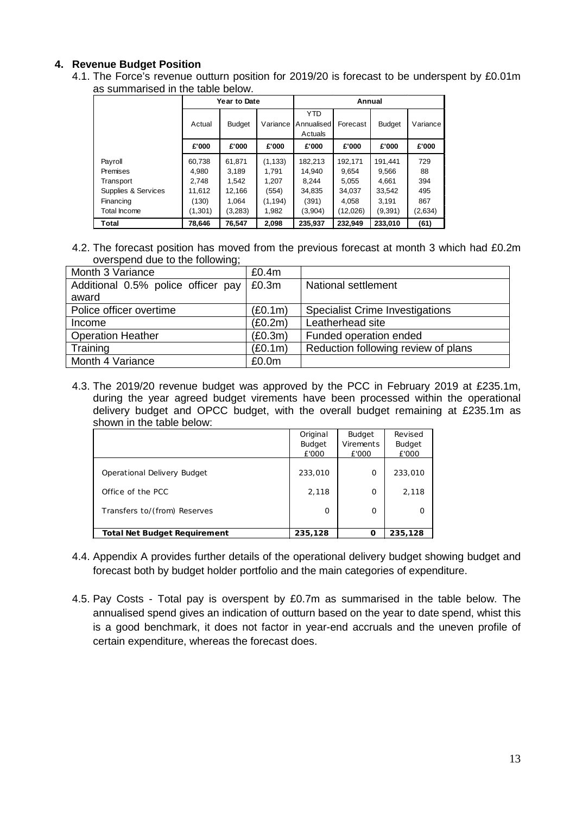#### **4. Revenue Budget Position**

4.1. The Force's revenue outturn position for 2019/20 is forecast to be underspent by £0.01m as summarised in the table below.

|                     | Year to Date |               |          | Annual                              |          |               |          |
|---------------------|--------------|---------------|----------|-------------------------------------|----------|---------------|----------|
|                     | Actual       | <b>Budget</b> | Variance | <b>YTD</b><br>Annualised<br>Actuals | Forecast | <b>Budget</b> | Variance |
|                     | £'000        | £'000         | £'000    | £'000                               | £'000    | £'000         | £'000    |
| Payroll             | 60.738       | 61,871        | (1, 133) | 182,213                             | 192.171  | 191.441       | 729      |
| Premises            | 4.980        | 3.189         | 1.791    | 14.940                              | 9.654    | 9,566         | 88       |
| Transport           | 2.748        | 1.542         | 1.207    | 8.244                               | 5.055    | 4.661         | 394      |
| Supplies & Services | 11,612       | 12.166        | (554)    | 34.835                              | 34.037   | 33,542        | 495      |
| Financing           | (130)        | 1.064         | (1, 194) | (391)                               | 4.058    | 3.191         | 867      |
| Total Income        | (1,301)      | (3,283)       | 1,982    | (3,904)                             | (12,026) | (9, 391)      | (2,634)  |
| Total               | 78.646       | 76.547        | 2.098    | 235.937                             | 232.949  | 233.010       | (61)     |

4.2. The forecast position has moved from the previous forecast at month 3 which had £0.2m overspend due to the following;

| Month 3 Variance                   | £0.4m   |                                        |
|------------------------------------|---------|----------------------------------------|
| Additional 0.5% police officer pay | £0.3m   | National settlement                    |
| award                              |         |                                        |
| Police officer overtime            | (E0.1m) | <b>Specialist Crime Investigations</b> |
| Income                             | (E0.2m) | Leatherhead site                       |
| <b>Operation Heather</b>           | (E0.3m) | Funded operation ended                 |
| Training                           | (E0.1m) | Reduction following review of plans    |
| Month 4 Variance                   | £0.0m   |                                        |

4.3. The 2019/20 revenue budget was approved by the PCC in February 2019 at £235.1m, during the year agreed budget virements have been processed within the operational delivery budget and OPCC budget, with the overall budget remaining at £235.1m as shown in the table below:

|                                     | Original      | <b>Budget</b> | Revised       |
|-------------------------------------|---------------|---------------|---------------|
|                                     | <b>Budget</b> | Virements     | <b>Budget</b> |
|                                     | £'000         | £'000         | £'000         |
| Operational Delivery Budget         | 233,010       | $\Omega$      | 233,010       |
| Office of the PCC                   | 2,118         | $\Omega$      | 2,118         |
| Transfers to/(from) Reserves        | $\Omega$      | $\Omega$      | 0             |
| <b>Total Net Budget Requirement</b> | 235,128       | n             | 235,128       |

- 4.4. Appendix A provides further details of the operational delivery budget showing budget and forecast both by budget holder portfolio and the main categories of expenditure.
- 4.5. Pay Costs Total pay is overspent by £0.7m as summarised in the table below. The annualised spend gives an indication of outturn based on the year to date spend, whist this is a good benchmark, it does not factor in year-end accruals and the uneven profile of certain expenditure, whereas the forecast does.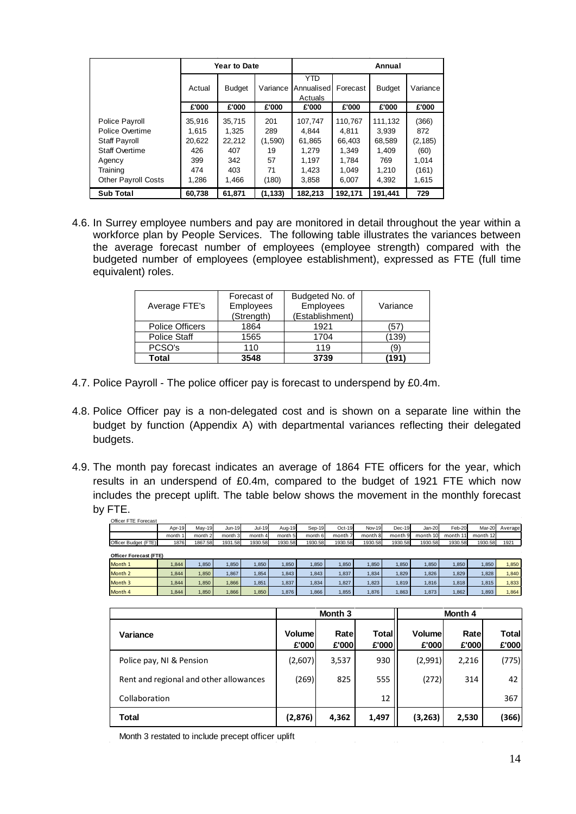|                            |        | <b>Year to Date</b> |          | Annual                       |          |               |          |
|----------------------------|--------|---------------------|----------|------------------------------|----------|---------------|----------|
|                            | Actual | <b>Budget</b>       | Variance | YTD<br>Annualised<br>Actuals | Forecast | <b>Budget</b> | Variance |
|                            | £'000  | £'000               | £'000    | £'000                        | £'000    | £'000         | £'000    |
| Police Payroll             | 35.916 | 35,715              | 201      | 107.747                      | 110.767  | 111.132       | (366)    |
| Police Overtime            | 1.615  | 1.325               | 289      | 4.844                        | 4.811    | 3.939         | 872      |
| <b>Staff Payroll</b>       | 20.622 | 22,212              | (1,590)  | 61.865                       | 66.403   | 68.589        | (2, 185) |
| <b>Staff Overtime</b>      | 426    | 407                 | 19       | 1.279                        | 1.349    | 1.409         | (60)     |
| Agency                     | 399    | 342                 | 57       | 1.197                        | 1.784    | 769           | 1.014    |
| Training                   | 474    | 403                 | 71       | 1.423                        | 1.049    | 1.210         | (161)    |
| <b>Other Payroll Costs</b> | 1.286  | 1.466               | (180)    | 3.858                        | 6.007    | 4.392         | 1,615    |
| <b>Sub Total</b>           | 60,738 | 61,871              | (1, 133) | 182,213                      | 192,171  | 191,441       | 729      |

4.6. In Surrey employee numbers and pay are monitored in detail throughout the year within a workforce plan by People Services. The following table illustrates the variances between the average forecast number of employees (employee strength) compared with the budgeted number of employees (employee establishment), expressed as FTE (full time equivalent) roles.

| Average FTE's          | Forecast of<br><b>Employees</b><br>(Strength) | Budgeted No. of<br>Employees<br>(Establishment) | Variance |
|------------------------|-----------------------------------------------|-------------------------------------------------|----------|
| <b>Police Officers</b> | 1864                                          | 1921                                            | :57      |
| <b>Police Staff</b>    | 1565                                          | 1704                                            | 139)     |
| PCSO's                 | 110                                           | 119                                             | '9'      |
| Total                  | 3548                                          | 3739                                            | 191      |

- 4.7. Police Payroll The police officer pay is forecast to underspend by £0.4m.
- 4.8. Police Officer pay is a non-delegated cost and is shown on a separate line within the budget by function (Appendix A) with departmental variances reflecting their delegated budgets.
- 4.9. The month pay forecast indicates an average of 1864 FTE officers for the year, which results in an underspend of £0.4m, compared to the budget of 1921 FTE which now includes the precept uplift. The table below shows the movement in the monthly forecast by FTE.

|                               |         |                    |         | Month 3<br>Month 4 |         |         |                    |               |          |          |          |          |         |
|-------------------------------|---------|--------------------|---------|--------------------|---------|---------|--------------------|---------------|----------|----------|----------|----------|---------|
|                               |         |                    |         |                    |         |         |                    |               |          |          |          |          |         |
| Month 4                       | 1,844   | 1,850              | 866,    | 1,850              | 1,876   | 1,866   | 1,855              | 1,876         | 1,863    | 1,873    | 1,862    | 1,893    | 1,864   |
| Month 3                       | 1.844   | 1.850              | 1.866   | 1.851              | 1,837   | 1,834   | 1,827              | 1,823         | 1.819    | 1.816    | 1.818    | 1,815    | 1,833   |
| Month 2                       | 1,844   | 1,850              | 1.867   | 1.854              | 1,843   | 1,843   | 1,837              | 1,834         | 1,829    | 1,826    | 1.829    | 1,828    | 1,840   |
| Month 1                       | 1.844   | 1,850              | 1,850   | 1,850              | 1,850   | 1,850   | 1,850              | 1,850         | 1,850    | 1,850    | 1,850    | 1,850    | 1,850   |
| <b>Officer Forecast (FTE)</b> |         |                    |         |                    |         |         |                    |               |          |          |          |          |         |
| Officer Budget (FTE)          | 1876    | 1867.58            | 1931.58 | 1930.58            | 1930.58 | 1930.58 | 1930.58            | 1930.58       | 1930.58  | 1930.58  | 1930.58  | 1930.58  | 1921    |
|                               | month 1 | month <sub>2</sub> | month 3 | month 4            | month 5 | month 6 | month <sub>7</sub> | month 8       | month 9  | month 10 | month 11 | month 12 |         |
|                               | Apr-19  | $May-19$           | Jun-19  | <b>Jul-19</b>      | Aug-19  | Sep-19  | Oct-19             | <b>Nov-19</b> | $Dec-19$ | Jan-20   | Feb-20   | Mar-20   | Average |

| Variance                               | Volume<br>£'000 | Ratel<br>£'000 | Total<br>£'000 | Volume<br>£'000 | Ratel<br>£'000 | <b>Total</b><br>£'000 |
|----------------------------------------|-----------------|----------------|----------------|-----------------|----------------|-----------------------|
| Police pay, NI & Pension               | (2,607)         | 3,537          | 930            | (2,991)         | 2,216          | (775)                 |
| Rent and regional and other allowances | (269)           | 825            | 555            | (272)           | 314            | 42                    |
| Collaboration                          |                 |                | 12             |                 |                | 367                   |
| Total                                  | (2,876)         | 4.362          | 1.497          | (3, 263)        | 2,530          | (366)                 |

Month 3 restated to include precept officer uplift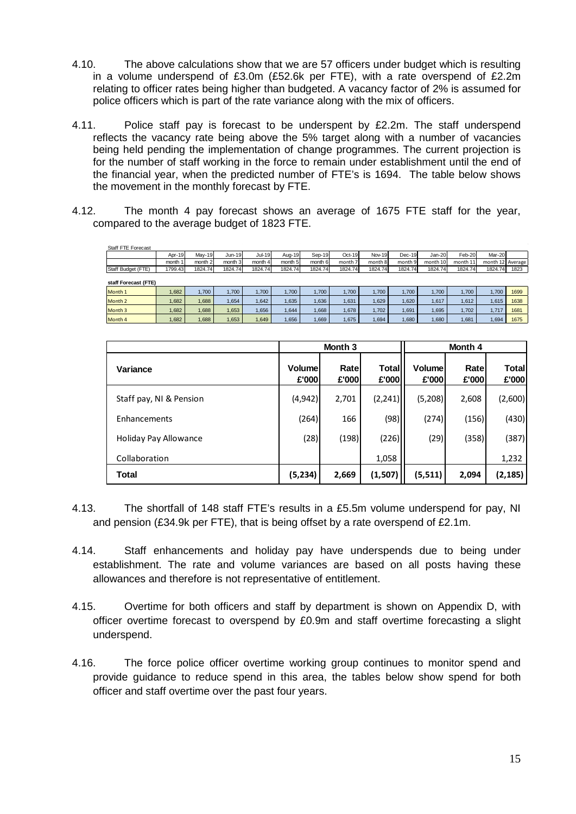- 4.10. The above calculations show that we are 57 officers under budget which is resulting in a volume underspend of £3.0m (£52.6k per FTE), with a rate overspend of £2.2m relating to officer rates being higher than budgeted. A vacancy factor of 2% is assumed for police officers which is part of the rate variance along with the mix of officers.
- 4.11. Police staff pay is forecast to be underspent by £2.2m. The staff underspend reflects the vacancy rate being above the 5% target along with a number of vacancies being held pending the implementation of change programmes. The current projection is for the number of staff working in the force to remain under establishment until the end of the financial year, when the predicted number of FTE's is 1694. The table below shows the movement in the monthly forecast by FTE.
- 4.12. The month 4 pay forecast shows an average of 1675 FTE staff for the year, compared to the average budget of 1823 FTE.

| Staff FTE Forecast   |         |               |          |         |         |         |          |               |          |          |          |                  |      |
|----------------------|---------|---------------|----------|---------|---------|---------|----------|---------------|----------|----------|----------|------------------|------|
|                      | Apr-19  | <b>Mav-19</b> | $Jun-19$ | Jul-19  | Aug-19  | Sep-19  | $Oct-19$ | <b>Nov-19</b> | $Dec-19$ | $Jan-20$ | Feb-20   | Mar-20           |      |
|                      | month 1 | month 2       | month 3  | month 4 | month 5 | month 6 | month 7  | month 8       | month 9  | month 10 | month 11 | month 12 Average |      |
| Staff Budget (FTE)   | 1799.43 | 1824.74       | 1824.74  | 1824.74 | 1824.74 | 1824.74 | 1824.74  | 1824.74       | 1824.74  | 1824.74  | 1824.74  | 1824.74          | 1823 |
|                      |         |               |          |         |         |         |          |               |          |          |          |                  |      |
| staff Forecast (FTE) |         |               |          |         |         |         |          |               |          |          |          |                  |      |
| Month 1              | 1.682   | .700          | 1.700    | 1.700   | 1.700   | 1.700   | 1.700    | 1.700         | .700     | 1.700    | 1.700    | 1.700            | 1699 |
| Month 2              | 1.682   | .688          | 1.654    | 1.642   | 1.635   | 1,636   | 1,631    | .629          | 1.620    | 1,617    | 1,612    | 1.615            | 1638 |
| Month 3              | 1,682   | .688          | 1,653    | 1,656   | 1,644   | 1,668   | 1,678    | 1.702         | 1,691    | 1,695    | 1,702    | 1.717            | 1681 |
| Month 4              | 1,682   | .688          | 1,653    | 1,649   | 1.656   | 1,669   | 1.675    | 1.694         | 1.680    | 1.680    | 1,681    | 1.694            | 1675 |

|                         |                 | Month 3        |                       | Month 4                |               |                       |  |
|-------------------------|-----------------|----------------|-----------------------|------------------------|---------------|-----------------------|--|
| Variance                | Volume<br>£'000 | Ratel<br>£'000 | <b>Total</b><br>£'000 | <b>Volume</b><br>£'000 | Rate<br>£'000 | <b>Total</b><br>£'000 |  |
| Staff pay, NI & Pension | (4, 942)        | 2,701          | (2,241)               | (5,208)                | 2,608         | (2,600)               |  |
| Enhancements            | (264)           | 166            | (98)                  | (274)                  | (156)         | (430)                 |  |
| Holiday Pay Allowance   | (28)            | (198)          | (226)                 | (29)                   | (358)         | (387)                 |  |
| Collaboration           |                 |                | 1,058                 |                        |               | 1,232                 |  |
| Total                   | (5,234)         | 2,669          | (1,507)               | (5, 511)               | 2,094         | (2, 185)              |  |

- 4.13. The shortfall of 148 staff FTE's results in a £5.5m volume underspend for pay, NI and pension (£34.9k per FTE), that is being offset by a rate overspend of £2.1m.
- 4.14. Staff enhancements and holiday pay have underspends due to being under establishment. The rate and volume variances are based on all posts having these allowances and therefore is not representative of entitlement.
- 4.15. Overtime for both officers and staff by department is shown on Appendix D, with officer overtime forecast to overspend by £0.9m and staff overtime forecasting a slight underspend.
- 4.16. The force police officer overtime working group continues to monitor spend and provide guidance to reduce spend in this area, the tables below show spend for both officer and staff overtime over the past four years.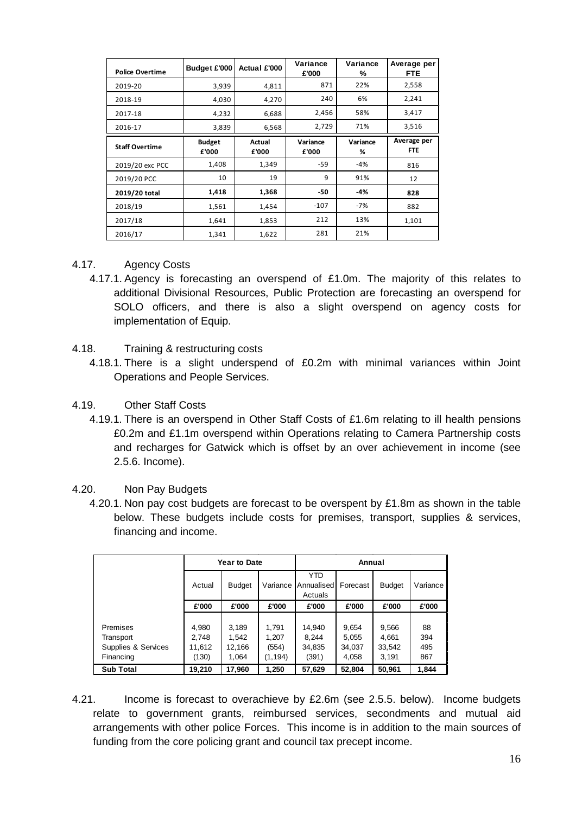| <b>Police Overtime</b> | Budget £'000           | Actual £'000    | Variance<br>£'000 | Variance<br>% | Average per<br><b>FTE</b> |
|------------------------|------------------------|-----------------|-------------------|---------------|---------------------------|
| 2019-20                | 3,939                  | 4,811           | 871               | 22%           | 2,558                     |
| 2018-19                | 4,030                  | 4,270           | 240               | 6%            | 2,241                     |
| 2017-18                | 4,232                  | 6,688           | 2,456             | 58%           | 3,417                     |
| 2016-17                | 3,839                  | 6,568           | 2,729             | 71%           | 3,516                     |
| <b>Staff Overtime</b>  | <b>Budget</b><br>£'000 | Actual<br>£'000 | Variance<br>£'000 | Variance<br>% | Average per<br><b>FTE</b> |
| 2019/20 exc PCC        | 1,408                  | 1,349           | -59               | -4%           | 816                       |
| 2019/20 PCC            | 10                     | 19              | 9                 | 91%           | 12                        |
| 2019/20 total          | 1,418                  | 1,368           | -50               | -4%           | 828                       |
| 2018/19                | 1,561                  | 1,454           | $-107$            | $-7%$         | 882                       |
| 2017/18                | 1,641                  | 1,853           | 212               | 13%           | 1,101                     |
| 2016/17                | 1,341                  | 1,622           | 281               | 21%           |                           |

#### 4.17. Agency Costs

- 4.17.1. Agency is forecasting an overspend of £1.0m. The majority of this relates to additional Divisional Resources, Public Protection are forecasting an overspend for SOLO officers, and there is also a slight overspend on agency costs for implementation of Equip.
- 4.18. Training & restructuring costs
	- 4.18.1. There is a slight underspend of £0.2m with minimal variances within Joint Operations and People Services.
- 4.19. Other Staff Costs
	- 4.19.1. There is an overspend in Other Staff Costs of £1.6m relating to ill health pensions £0.2m and £1.1m overspend within Operations relating to Camera Partnership costs and recharges for Gatwick which is offset by an over achievement in income (see 2.5.6. Income).
- 4.20. Non Pay Budgets
	- 4.20.1. Non pay cost budgets are forecast to be overspent by £1.8m as shown in the table below. These budgets include costs for premises, transport, supplies & services, financing and income.

|                     |        | <b>Year to Date</b> |          | Annual                              |          |               |          |
|---------------------|--------|---------------------|----------|-------------------------------------|----------|---------------|----------|
|                     | Actual | <b>Budget</b>       | Variance | <b>YTD</b><br>Annualised<br>Actuals | Forecast | <b>Budget</b> | Variance |
|                     | £'000  | £'000               | £'000    | £'000                               | £'000    | £'000         | £'000    |
|                     |        |                     |          |                                     |          |               |          |
| Premises            | 4,980  | 3,189               | 1,791    | 14,940                              | 9,654    | 9,566         | 88       |
| Transport           | 2,748  | 1.542               | 1,207    | 8.244                               | 5,055    | 4,661         | 394      |
| Supplies & Services | 11,612 | 12,166              | (554)    | 34,835                              | 34,037   | 33,542        | 495      |
| Financing           | (130)  | 1,064               | (1, 194) | (391)                               | 4,058    | 3.191         | 867      |
| <b>Sub Total</b>    | 19,210 | 17,960              | 1,250    | 57,629                              | 52,804   | 50,961        | 1,844    |

4.21. Income is forecast to overachieve by £2.6m (see 2.5.5. below). Income budgets relate to government grants, reimbursed services, secondments and mutual aid arrangements with other police Forces. This income is in addition to the main sources of funding from the core policing grant and council tax precept income.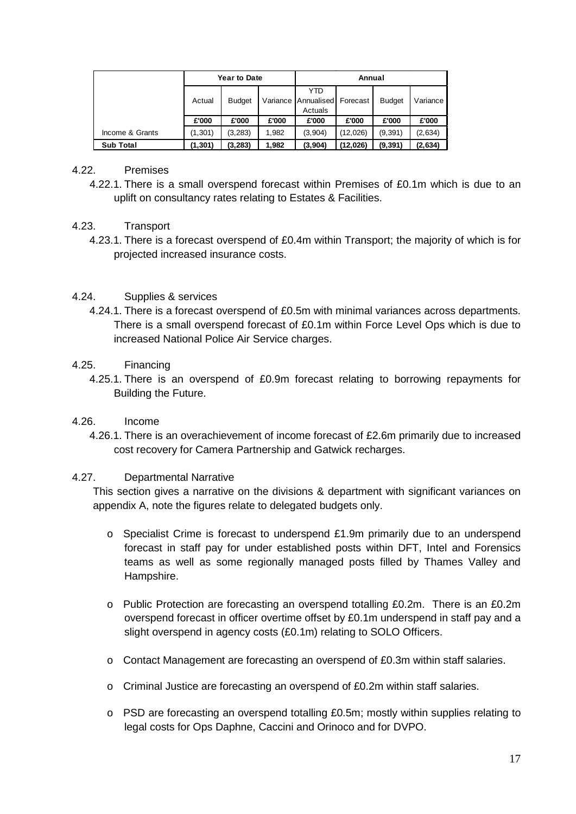|                  | <b>Year to Date</b> |               |          | Annual                              |          |               |          |  |
|------------------|---------------------|---------------|----------|-------------------------------------|----------|---------------|----------|--|
|                  | Actual              | <b>Budget</b> | Variance | <b>YTD</b><br>Annualised<br>Actuals | Forecast | <b>Budget</b> | Variance |  |
|                  | £'000               | £'000         | £'000    | £'000                               | £'000    | £'000         | £'000    |  |
| Income & Grants  | (1,301)             | (3,283)       | 1.982    | (3,904)                             | (12,026) | (9, 391)      | (2,634)  |  |
| <b>Sub Total</b> | (1, 301)            | (3, 283)      | 1.982    | (3,904)                             | (12,026) | (9, 391)      | (2,634)  |  |

#### 4.22. Premises

4.22.1. There is a small overspend forecast within Premises of £0.1m which is due to an uplift on consultancy rates relating to Estates & Facilities.

#### 4.23. Transport

4.23.1. There is a forecast overspend of £0.4m within Transport; the majority of which is for projected increased insurance costs.

#### 4.24. Supplies & services

4.24.1. There is a forecast overspend of £0.5m with minimal variances across departments. There is a small overspend forecast of £0.1m within Force Level Ops which is due to increased National Police Air Service charges.

#### 4.25. Financing

4.25.1. There is an overspend of £0.9m forecast relating to borrowing repayments for Building the Future.

#### 4.26. Income

4.26.1. There is an overachievement of income forecast of £2.6m primarily due to increased cost recovery for Camera Partnership and Gatwick recharges.

#### 4.27. Departmental Narrative

This section gives a narrative on the divisions & department with significant variances on appendix A, note the figures relate to delegated budgets only.

- $\circ$  Specialist Crime is forecast to underspend £1.9m primarily due to an underspend forecast in staff pay for under established posts within DFT, Intel and Forensics teams as well as some regionally managed posts filled by Thames Valley and Hampshire.
- o Public Protection are forecasting an overspend totalling £0.2m. There is an £0.2m overspend forecast in officer overtime offset by £0.1m underspend in staff pay and a slight overspend in agency costs (£0.1m) relating to SOLO Officers.
- o Contact Management are forecasting an overspend of £0.3m within staff salaries.
- $\circ$  Criminal Justice are forecasting an overspend of £0.2m within staff salaries.
- o PSD are forecasting an overspend totalling £0.5m; mostly within supplies relating to legal costs for Ops Daphne, Caccini and Orinoco and for DVPO.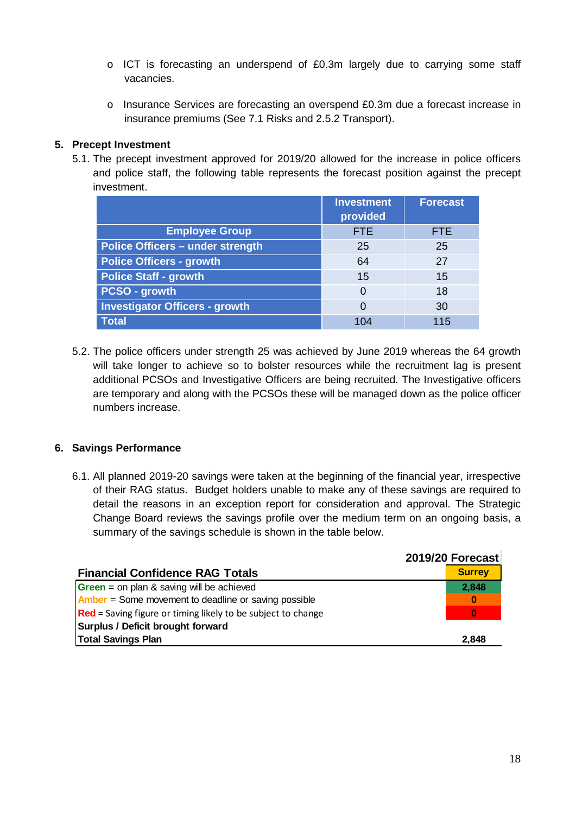- o ICT is forecasting an underspend of £0.3m largely due to carrying some staff vacancies.
- o Insurance Services are forecasting an overspend £0.3m due a forecast increase in insurance premiums (See 7.1 Risks and 2.5.2 Transport).

#### **5. Precept Investment**

5.1. The precept investment approved for 2019/20 allowed for the increase in police officers and police staff, the following table represents the forecast position against the precept investment.

|                                         | <b>Investment</b><br>provided | <b>Forecast</b> |
|-----------------------------------------|-------------------------------|-----------------|
| <b>Employee Group</b>                   | <b>FTE</b>                    | <b>FTE</b>      |
| <b>Police Officers - under strength</b> | 25                            | 25              |
| <b>Police Officers - growth</b>         | 64                            | 27              |
| <b>Police Staff - growth</b>            | 15                            | 15              |
| PCSO - growth                           | 0                             | 18              |
| <b>Investigator Officers - growth</b>   | 0                             | 30              |
| <b>Total</b>                            | 104                           | 115             |

5.2. The police officers under strength 25 was achieved by June 2019 whereas the 64 growth will take longer to achieve so to bolster resources while the recruitment lag is present additional PCSOs and Investigative Officers are being recruited. The Investigative officers are temporary and along with the PCSOs these will be managed down as the police officer numbers increase.

#### **6. Savings Performance**

6.1. All planned 2019-20 savings were taken at the beginning of the financial year, irrespective of their RAG status. Budget holders unable to make any of these savings are required to detail the reasons in an exception report for consideration and approval. The Strategic Change Board reviews the savings profile over the medium term on an ongoing basis, a summary of the savings schedule is shown in the table below.

|                                                                 | 2019/20 Forecast |
|-----------------------------------------------------------------|------------------|
| <b>Financial Confidence RAG Totals</b>                          | <b>Surrey</b>    |
| <b>Green</b> = on plan & saving will be achieved                | 2,848            |
| <b>Amber</b> = Some movement to deadline or saving possible     | $\bf{0}$         |
| $ Red =$ Saving figure or timing likely to be subject to change | $\bf{0}$         |
| Surplus / Deficit brought forward                               |                  |
| <b>Total Savings Plan</b>                                       | 2,848            |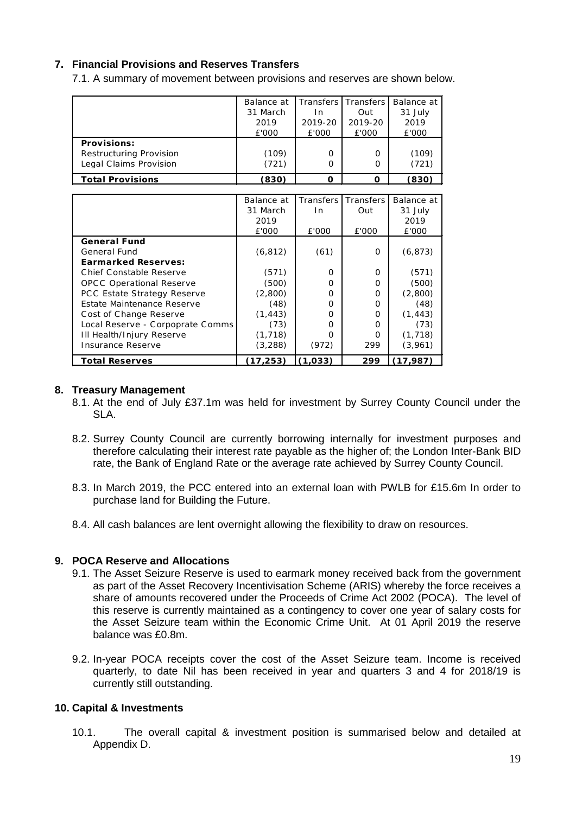#### **7. Financial Provisions and Reserves Transfers**

7.1. A summary of movement between provisions and reserves are shown below.

|                         | Balance at |         | Transfers Transfers | Balance at |
|-------------------------|------------|---------|---------------------|------------|
|                         | 31 March   | In.     | Out                 | 31 July    |
|                         | 2019       | 2019-20 | 2019-20             | 2019       |
|                         | £'000      | £'000   | £'000               | £'000      |
| <b>Provisions:</b>      |            |         |                     |            |
| Restructuring Provision | (109)      | 0       | 0                   | (109)      |
| Legal Claims Provision  | (721)      | 0       | 0                   | (721)      |
| <b>Total Provisions</b> | (830)      | O       | ი                   | (830)      |

|                                    | Balance at | Transfers | Transfers | Balance at |
|------------------------------------|------------|-----------|-----------|------------|
|                                    | 31 March   | In.       | Out       | 31 July    |
|                                    | 2019       |           |           | 2019       |
|                                    | £'000      | £'000     | £'000     | £'000      |
| <b>General Fund</b>                |            |           |           |            |
| General Fund                       | (6, 812)   | (61)      | O         | (6, 873)   |
| <b>Earmarked Reserves:</b>         |            |           |           |            |
| Chief Constable Reserve            | (571)      | O         | O         | (571)      |
| <b>OPCC Operational Reserve</b>    | (500)      | O         | ∩         | (500)      |
| <b>PCC Estate Strategy Reserve</b> | (2,800)    | O         | $\Omega$  | (2,800)    |
| Estate Maintenance Reserve         | (48)       | O         | O         | (48)       |
| Cost of Change Reserve             | (1, 443)   | O         | O         | (1, 443)   |
| Local Reserve - Corpoprate Comms   | (73)       | O         | O         | (73)       |
| Ill Health/Injury Reserve          | (1,718)    | O         | O         | (1, 718)   |
| Insurance Reserve                  | (3,288)    | (972)     | 299       | (3,961)    |
| <b>Total Reserves</b>              | (17, 253)  | (1,033)   | 299       | (17, 987)  |

#### **8. Treasury Management**

- 8.1. At the end of July £37.1m was held for investment by Surrey County Council under the SLA.
- 8.2. Surrey County Council are currently borrowing internally for investment purposes and therefore calculating their interest rate payable as the higher of; the London Inter-Bank BID rate, the Bank of England Rate or the average rate achieved by Surrey County Council.
- 8.3. In March 2019, the PCC entered into an external loan with PWLB for £15.6m In order to purchase land for Building the Future.
- 8.4. All cash balances are lent overnight allowing the flexibility to draw on resources.

#### **9. POCA Reserve and Allocations**

- 9.1. The Asset Seizure Reserve is used to earmark money received back from the government as part of the Asset Recovery Incentivisation Scheme (ARIS) whereby the force receives a share of amounts recovered under the Proceeds of Crime Act 2002 (POCA). The level of this reserve is currently maintained as a contingency to cover one year of salary costs for the Asset Seizure team within the Economic Crime Unit. At 01 April 2019 the reserve balance was £0.8m.
- 9.2. In-year POCA receipts cover the cost of the Asset Seizure team. Income is received quarterly, to date Nil has been received in year and quarters 3 and 4 for 2018/19 is currently still outstanding.

#### **10. Capital & Investments**

10.1. The overall capital & investment position is summarised below and detailed at Appendix D.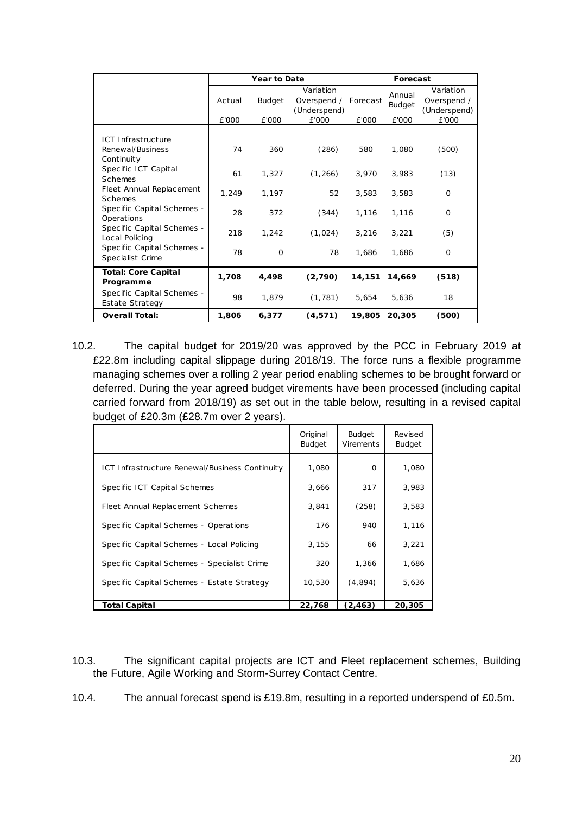|                                                      |                 | <b>Year to Date</b> |                                                   | Forecast          |                                  |                                                   |  |
|------------------------------------------------------|-----------------|---------------------|---------------------------------------------------|-------------------|----------------------------------|---------------------------------------------------|--|
|                                                      | Actual<br>£'000 | Budget<br>£'000     | Variation<br>Overspend /<br>(Underspend)<br>£'000 | Forecast<br>£'000 | Annual<br><b>Budget</b><br>£'000 | Variation<br>Overspend /<br>(Underspend)<br>£'000 |  |
|                                                      |                 |                     |                                                   |                   |                                  |                                                   |  |
| ICT Infrastructure<br>Renewal/Business<br>Continuity | 74              | 360                 | (286)                                             | 580               | 1,080                            | (500)                                             |  |
| Specific ICT Capital<br><b>Schemes</b>               | 61              | 1,327               | (1, 266)                                          | 3,970             | 3,983                            | (13)                                              |  |
| Fleet Annual Replacement<br><b>Schemes</b>           | 1,249           | 1,197               | 52                                                | 3,583             | 3,583                            | $\Omega$                                          |  |
| Specific Capital Schemes -<br>Operations             | 28              | 372                 | (344)                                             | 1,116             | 1,116                            | $\Omega$                                          |  |
| Specific Capital Schemes -<br>Local Policing         | 218             | 1,242               | (1,024)                                           | 3,216             | 3,221                            | (5)                                               |  |
| Specific Capital Schemes -<br>Specialist Crime       | 78              | $\mathbf 0$         | 78                                                | 1.686             | 1.686                            | $\Omega$                                          |  |
| <b>Total: Core Capital</b><br>Programme              | 1,708           | 4,498               | (2,790)                                           | 14,151            | 14,669                           | (518)                                             |  |
| Specific Capital Schemes -<br>Estate Strategy        | 98              | 1,879               | (1, 781)                                          | 5,654             | 5.636                            | 18                                                |  |
| <b>Overall Total:</b>                                | 1,806           | 6,377               | (4, 571)                                          | 19,805            | 20,305                           | (500)                                             |  |

10.2. The capital budget for 2019/20 was approved by the PCC in February 2019 at £22.8m including capital slippage during 2018/19. The force runs a flexible programme managing schemes over a rolling 2 year period enabling schemes to be brought forward or deferred. During the year agreed budget virements have been processed (including capital carried forward from 2018/19) as set out in the table below, resulting in a revised capital budget of £20.3m (£28.7m over 2 years).

|                                                | Original<br><b>Budget</b> | <b>Budget</b><br><b>Virements</b> | Revised<br><b>Budget</b> |
|------------------------------------------------|---------------------------|-----------------------------------|--------------------------|
| ICT Infrastructure Renewal/Business Continuity | 1,080                     | O                                 | 1,080                    |
| Specific ICT Capital Schemes                   | 3,666                     | 317                               | 3,983                    |
| Fleet Annual Replacement Schemes               | 3,841                     | (258)                             | 3,583                    |
| Specific Capital Schemes - Operations          | 176                       | 940                               | 1,116                    |
| Specific Capital Schemes - Local Policing      | 3,155                     | 66                                | 3,221                    |
| Specific Capital Schemes - Specialist Crime    | 320                       | 1,366                             | 1,686                    |
| Specific Capital Schemes - Estate Strategy     | 10,530                    | (4,894)                           | 5,636                    |
| Total Capital                                  | 22,768                    | (2,463)                           | 20,305                   |

- 10.3. The significant capital projects are ICT and Fleet replacement schemes, Building the Future, Agile Working and Storm-Surrey Contact Centre.
- 10.4. The annual forecast spend is £19.8m, resulting in a reported underspend of £0.5m.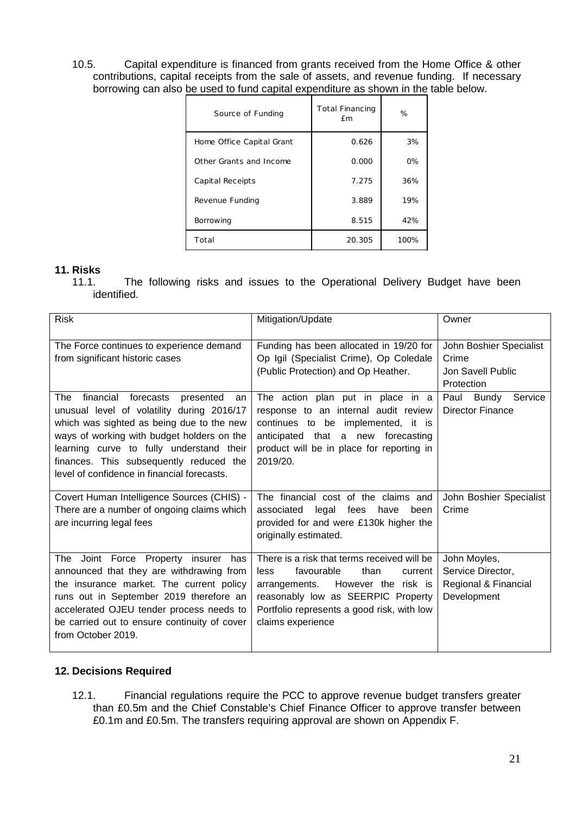10.5. Capital expenditure is financed from grants received from the Home Office & other contributions, capital receipts from the sale of assets, and revenue funding. If necessary borrowing can also be used to fund capital expenditure as shown in the table below.

| Source of Funding         | <b>Total Financing</b><br><b>f</b> m | %    |
|---------------------------|--------------------------------------|------|
| Home Office Capital Grant | 0.626                                | 3%   |
| Other Grants and Income   | 0.000                                | 0%   |
| Capital Receipts          | 7.275                                | 36%  |
| Revenue Funding           | 3.889                                | 19%  |
| Borrowing                 | 8.515                                | 42%  |
| Total                     | 20.305                               | 100% |

# **11. Risks**

The following risks and issues to the Operational Delivery Budget have been identified.

| <b>Risk</b>                                                                                                                                                                                                                                                                                                                     | Mitigation/Update                                                                                                                                                                                                                     | Owner                                                                    |
|---------------------------------------------------------------------------------------------------------------------------------------------------------------------------------------------------------------------------------------------------------------------------------------------------------------------------------|---------------------------------------------------------------------------------------------------------------------------------------------------------------------------------------------------------------------------------------|--------------------------------------------------------------------------|
| The Force continues to experience demand<br>from significant historic cases                                                                                                                                                                                                                                                     | Funding has been allocated in 19/20 for<br>Op Igil (Specialist Crime), Op Coledale<br>(Public Protection) and Op Heather.                                                                                                             | John Boshier Specialist<br>Crime<br>Jon Savell Public<br>Protection      |
| financial<br>forecasts<br>The<br>presented<br>an<br>unusual level of volatility during 2016/17<br>which was sighted as being due to the new<br>ways of working with budget holders on the<br>learning curve to fully understand their<br>finances. This subsequently reduced the<br>level of confidence in financial forecasts. | The action plan put in place in a<br>response to an internal audit review<br>continues to be implemented, it is<br>anticipated that a new forecasting<br>product will be in place for reporting in<br>2019/20.                        | Service<br>Paul<br>Bundy<br><b>Director Finance</b>                      |
| Covert Human Intelligence Sources (CHIS) -<br>There are a number of ongoing claims which<br>are incurring legal fees                                                                                                                                                                                                            | The financial cost of the claims and<br>legal<br>fees<br>have<br>been<br>associated<br>provided for and were £130k higher the<br>originally estimated.                                                                                | John Boshier Specialist<br>Crime                                         |
| Joint Force Property insurer<br>The<br>has<br>announced that they are withdrawing from<br>the insurance market. The current policy<br>runs out in September 2019 therefore an<br>accelerated OJEU tender process needs to<br>be carried out to ensure continuity of cover<br>from October 2019.                                 | There is a risk that terms received will be<br>favourable<br>than<br>less<br>current<br>arrangements.<br>However the risk is<br>reasonably low as SEERPIC Property<br>Portfolio represents a good risk, with low<br>claims experience | John Moyles,<br>Service Director,<br>Regional & Financial<br>Development |

#### **12. Decisions Required**

12.1. Financial regulations require the PCC to approve revenue budget transfers greater than £0.5m and the Chief Constable's Chief Finance Officer to approve transfer between £0.1m and £0.5m. The transfers requiring approval are shown on Appendix F.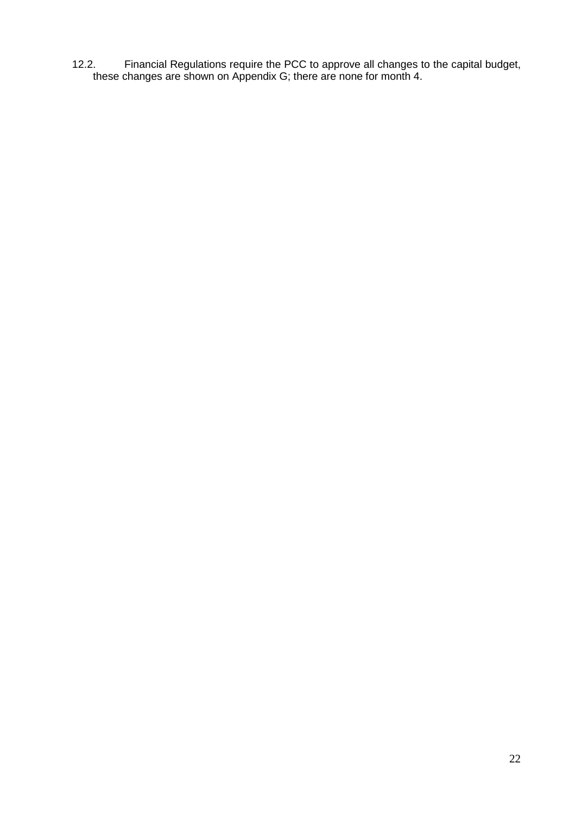12.2. Financial Regulations require the PCC to approve all changes to the capital budget, these changes are shown on Appendix G; there are none for month 4.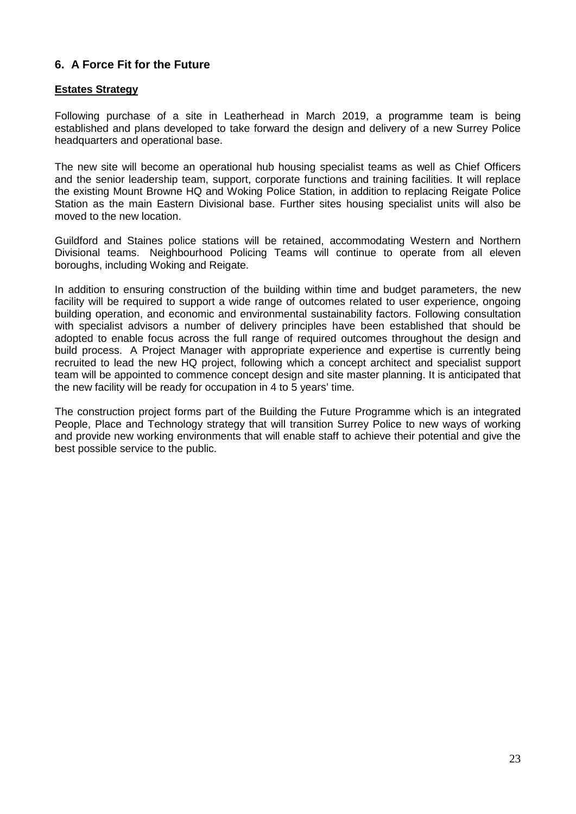### **6. A Force Fit for the Future**

#### **Estates Strategy**

Following purchase of a site in Leatherhead in March 2019, a programme team is being established and plans developed to take forward the design and delivery of a new Surrey Police headquarters and operational base.

The new site will become an operational hub housing specialist teams as well as Chief Officers and the senior leadership team, support, corporate functions and training facilities. It will replace the existing Mount Browne HQ and Woking Police Station, in addition to replacing Reigate Police Station as the main Eastern Divisional base. Further sites housing specialist units will also be moved to the new location.

Guildford and Staines police stations will be retained, accommodating Western and Northern Divisional teams. Neighbourhood Policing Teams will continue to operate from all eleven boroughs, including Woking and Reigate.

In addition to ensuring construction of the building within time and budget parameters, the new facility will be required to support a wide range of outcomes related to user experience, ongoing building operation, and economic and environmental sustainability factors. Following consultation with specialist advisors a number of delivery principles have been established that should be adopted to enable focus across the full range of required outcomes throughout the design and build process. A Project Manager with appropriate experience and expertise is currently being recruited to lead the new HQ project, following which a concept architect and specialist support team will be appointed to commence concept design and site master planning. It is anticipated that the new facility will be ready for occupation in 4 to 5 years' time.

The construction project forms part of the Building the Future Programme which is an integrated People, Place and Technology strategy that will transition Surrey Police to new ways of working and provide new working environments that will enable staff to achieve their potential and give the best possible service to the public.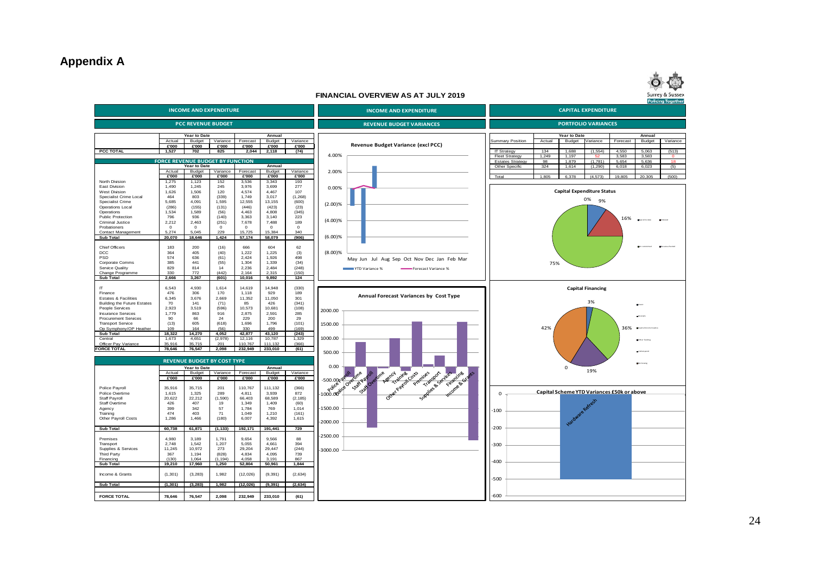### **Appendix A**



#### **FINANCIAL OVERVIEW AS AT JULY 2019**

|                                                          |                 |                                                           |                               |                            |                  |                   |                                                                                                                                                |                                             |              |                                   |                          |                                            | <b>Policing Together</b> |
|----------------------------------------------------------|-----------------|-----------------------------------------------------------|-------------------------------|----------------------------|------------------|-------------------|------------------------------------------------------------------------------------------------------------------------------------------------|---------------------------------------------|--------------|-----------------------------------|--------------------------|--------------------------------------------|--------------------------|
| <b>INCOME AND EXPENDITURE</b>                            |                 |                                                           | <b>INCOME AND EXPENDITURE</b> | <b>CAPITAL EXPENDITURE</b> |                  |                   |                                                                                                                                                |                                             |              |                                   |                          |                                            |                          |
|                                                          |                 |                                                           |                               |                            |                  |                   |                                                                                                                                                |                                             |              |                                   |                          |                                            |                          |
|                                                          |                 | <b>PCC REVENUE BUDGET</b>                                 |                               |                            |                  |                   | <b>REVENUE BUDGET VARIANCES</b>                                                                                                                |                                             |              | <b>PORTFOLIO VARIANCES</b>        |                          |                                            |                          |
|                                                          |                 | Year to Date                                              |                               |                            | Annual           |                   |                                                                                                                                                |                                             |              | Year to Date                      |                          | Annual                                     |                          |
|                                                          | Actual          | Budget                                                    | Variance                      | Forecast                   | Budget           | Variance          |                                                                                                                                                | <b>Summary Position</b>                     | Actual       | Budget                            | Variance                 | Budget<br>Forecast                         | Variance                 |
|                                                          | £'000           | £'000                                                     | £'000                         | £'000                      | £'000            | £'000             | Revenue Budget Variance (excl PCC)                                                                                                             |                                             |              |                                   |                          |                                            |                          |
| <b>PCC TOTAL</b>                                         | 1.527           | 702                                                       | 825                           | 2.044                      | 2.118            | (74)              | 4.00%                                                                                                                                          | <b>IT Strategy</b><br><b>Fleet Strategy</b> | 134<br>1,249 | 1.688<br>1,197                    | (1, 554)<br>52           | 4,550<br>5,063<br>3,583<br>3,583           | (513)<br>$\mathbf{0}$    |
|                                                          |                 | <b>FORCE REVENUE BUDGET BY FUNCTION</b>                   |                               |                            |                  |                   |                                                                                                                                                | <b>Estates Strategy</b>                     | 98           | 1.879                             | (1.781)                  | 5.636<br>5,654                             | 18                       |
|                                                          |                 | fear to Date                                              |                               |                            | Annual           |                   |                                                                                                                                                | Other Specific                              | 324          | 1,614                             | (1, 290)                 | 6,023<br>6,018                             | (5)                      |
|                                                          | Actual<br>£'000 | Budget<br>£'000                                           | Variance<br>£'000             | Forecast<br>£'000          | Budget<br>£'000  | Variance<br>£'000 | 2.00%                                                                                                                                          | Total                                       | 1,805        | 6,378                             | (4, 573)                 | 19,805<br>20,305                           | (500)                    |
| North Division                                           | 1,275           | 1,123                                                     | 152                           | 3,536                      | 3,343            | 193               |                                                                                                                                                |                                             |              |                                   |                          |                                            |                          |
| East Division                                            | 1,490           | 1,245                                                     | 245                           | 3,976                      | 3,699            | 277               | 0.00%                                                                                                                                          |                                             |              | <b>Capital Expenditure Status</b> |                          |                                            |                          |
| <b>West Division</b><br>Specialist Crime Local           | 1,626<br>464    | 1,506<br>803                                              | 120<br>(339)                  | 4,574<br>1,749             | 4,467<br>3,017   | 107<br>(1, 268)   |                                                                                                                                                |                                             |              |                                   |                          |                                            |                          |
| Specialist Crime                                         | 5,685           | 4,091                                                     | 1,595                         | 12,555                     | 13,155           | (600)             |                                                                                                                                                |                                             |              |                                   | 0%<br>9%                 |                                            |                          |
| Operations Local                                         | (286)           | (155)                                                     | (131)                         | (446)                      | (423)            | (23)              | (2.00)%                                                                                                                                        |                                             |              |                                   |                          |                                            |                          |
| Operations                                               | 1,534           | 1,589                                                     | (56)                          | 4,463                      | 4,808            | (345)             |                                                                                                                                                |                                             |              |                                   |                          |                                            |                          |
| Public Protection<br>Criminal Justice                    | 796<br>2,212    | 936<br>2,463                                              | (140)<br>(251)                | 3,363<br>7,678             | 3,140<br>7,488   | 223<br>189        | $(4.00)\%$                                                                                                                                     |                                             |              |                                   |                          | 16%                                        |                          |
| Probationers                                             | $\Omega$        | $\Omega$                                                  | $\circ$                       | $\Omega$                   | $\Omega$         | $\Omega$          |                                                                                                                                                |                                             |              |                                   |                          |                                            |                          |
| Contact Management                                       | 5.274           | 5.045                                                     | 229                           | 15.725                     | 15.384           | 340               |                                                                                                                                                |                                             |              |                                   |                          |                                            |                          |
| <b>Sub Total</b>                                         | 20,070          | 18,646                                                    | 1,424                         | 57,174                     | 58,079           | (906)             | $(6.00)$ %                                                                                                                                     |                                             |              |                                   |                          |                                            |                          |
| <b>Chief Officers</b>                                    | 183             | 200                                                       | (16)                          | 666                        | 604              | 62                |                                                                                                                                                |                                             |              |                                   |                          |                                            |                          |
| <b>DCC</b>                                               | 364             | 405                                                       | (40)                          | 1,222                      | 1,225            | (3)               | $(8.00)\%$                                                                                                                                     |                                             |              |                                   |                          |                                            |                          |
| PSD                                                      | 574             | 636                                                       | (61)                          | 2,424                      | 1,926            | 498               | May Jun Jul Aug Sep Oct Nov Dec Jan Feb Mar                                                                                                    |                                             |              |                                   |                          |                                            |                          |
| Corporate Comms                                          | 385             | 441                                                       | (55)                          | 1,304                      | 1,339            | (34)              |                                                                                                                                                |                                             | 75%          |                                   |                          |                                            |                          |
| Service Quality<br>Change Programme                      | 829<br>330      | 814<br>772                                                | 14<br>(442)                   | 2,236<br>2.164             | 2,484<br>2.315   | (248)<br>(150)    | YTD Variance %<br>Forecast Variance %                                                                                                          |                                             |              |                                   |                          |                                            |                          |
| Sub Total                                                | 2,666           | 3,267                                                     | (601)                         | 10,016                     | 9,892            | 124               |                                                                                                                                                |                                             |              |                                   |                          |                                            |                          |
|                                                          |                 |                                                           |                               |                            |                  |                   |                                                                                                                                                |                                             |              |                                   |                          |                                            |                          |
| IT<br>Finance                                            | 6,543<br>476    | 4,930<br>306                                              | 1,614<br>170                  | 14,619<br>1,118            | 14,948<br>929    | (330)<br>189      |                                                                                                                                                |                                             |              |                                   | <b>Capital Financing</b> |                                            |                          |
| <b>Estates &amp; Facilities</b>                          | 6,345           | 3,676                                                     | 2,669                         | 11,352                     | 11,050           | 301               | Annual Forecast Variances by Cost Type                                                                                                         |                                             |              |                                   |                          |                                            |                          |
| <b>Building the Future Estates</b>                       | 70              | 141                                                       | (71)                          | 85                         | 426              | (341)             |                                                                                                                                                |                                             |              |                                   | 3%                       |                                            |                          |
| People Services                                          | 2,923           | 3,519                                                     | (596)                         | 10,573                     | 10,681           | (108)             | 2000.00                                                                                                                                        |                                             |              |                                   |                          |                                            |                          |
| <b>Insurance Services</b><br><b>Procurement Services</b> | 1,779<br>90     | 863<br>66                                                 | 916<br>24                     | 2,875<br>229               | 2,591<br>200     | 285<br>29         |                                                                                                                                                |                                             |              |                                   |                          |                                            |                          |
| <b>Transport Service</b>                                 | (13)            | 605                                                       | (618)                         | 1,696                      | 1,796            | (101)             | 1500.00                                                                                                                                        |                                             |              |                                   |                          |                                            |                          |
| Op Symphony/OP Heather                                   | 109             | 164                                                       | (56)                          | 330                        | 499              | (169)             |                                                                                                                                                |                                             | 42%          |                                   |                          | 36%<br><b>D</b> Capt at top me familia     |                          |
| Sub Total<br>Central                                     | 18,322<br>1,673 | 14,270<br>4,651                                           | 4,052<br>(2,978)              | 42,877<br>12,116           | 43,120<br>10,787 | (243)<br>1,329    | 1000.00                                                                                                                                        |                                             |              |                                   |                          | <b>D</b> Other funding                     |                          |
| Officer Pay Variance                                     | 35,916          | 35,715                                                    | 201                           | 110,767                    | 111.132          | (366)             |                                                                                                                                                |                                             |              |                                   |                          |                                            |                          |
| <b>FORCE TOTAL</b>                                       | 78,646          | 76,547                                                    | 2,098                         | 232,949                    | 233,010          | (61)              | 500.00                                                                                                                                         |                                             |              |                                   |                          |                                            |                          |
|                                                          |                 |                                                           |                               |                            |                  |                   |                                                                                                                                                |                                             |              |                                   |                          |                                            |                          |
|                                                          |                 | <b>REVENUE BUDGET BY COST TYPE</b><br><b>Year to Date</b> |                               |                            |                  |                   | 0.00                                                                                                                                           |                                             |              | 0                                 |                          |                                            |                          |
|                                                          | Actual          | Budget                                                    | Variance                      | Forecast                   | Annual<br>Budget | Variance          |                                                                                                                                                |                                             |              |                                   | 19%                      |                                            |                          |
|                                                          | £'000           | £'000                                                     | £'000                         | £'000                      | £'000            | £'000             | Agency<br>Training                                                                                                                             |                                             |              |                                   |                          |                                            |                          |
|                                                          |                 |                                                           |                               |                            |                  |                   | Premises<br>Supplied & Sequence<br>Statt Payroll<br>Stat Overtrine<br>reamont costs<br>L1000.001 - Colege R R Bay<br>Financine<br>mcome & Gran |                                             |              |                                   |                          |                                            |                          |
| Police Payroll<br>Police Overtime                        | 35,916<br>1.615 | 35.715<br>1.325                                           | 201<br>289                    | 110.767<br>4.811           | 111,132<br>3.939 | (366)<br>872      |                                                                                                                                                | $\Omega$                                    |              |                                   |                          | Capital Scheme YTD Variances £50k or above |                          |
| Staff Payroll                                            | 20,622          | 22,212                                                    | (1,590)                       | 66,403                     | 68,589           | (2, 185)          | $\overline{O_{K}}$                                                                                                                             |                                             |              |                                   |                          |                                            |                          |
| Staff Overtime                                           | 426             | 407                                                       | 19                            | 1,349                      | 1,409            | (60)              |                                                                                                                                                |                                             |              |                                   |                          |                                            |                          |
| Agency<br>Training                                       | 399<br>474      | 342<br>403                                                | 57<br>71                      | 1,784<br>1,049             | 769<br>1,210     | 1,014<br>(161)    | $-1500.00$                                                                                                                                     | $-100$                                      |              |                                   |                          |                                            |                          |
| Other Payroll Costs                                      | 1,286           | 1,466                                                     | (180)                         | 6,007                      | 4,392            | 1,615             |                                                                                                                                                |                                             |              |                                   |                          |                                            |                          |
|                                                          |                 |                                                           |                               |                            |                  |                   | $-2000.00$                                                                                                                                     |                                             |              |                                   |                          |                                            |                          |
| <b>Sub Total</b>                                         | 60,738          | 61,871                                                    | (1, 133)                      | 192,171                    | 191,441          | 729               |                                                                                                                                                | $-200$                                      |              |                                   |                          |                                            |                          |
| Premises                                                 | 4.980           | 3.189                                                     | 1.791                         | 9.654                      | 9.566            | 88                | $-2500.00$                                                                                                                                     |                                             |              |                                   |                          |                                            |                          |
| Transport                                                | 2,748           | 1,542                                                     | 1,207                         | 5,055                      | 4,661            | 394               |                                                                                                                                                | -300                                        |              |                                   |                          |                                            |                          |
| Supplies & Services                                      | 11,245          | 10,972                                                    | 273                           | 29,204                     | 29,447           | (244)             | 3000.00                                                                                                                                        |                                             |              |                                   |                          |                                            |                          |
| Third Party<br>Financing                                 | 367<br>(130)    | 1,194<br>1,064                                            | (828)<br>(1, 194)             | 4,834<br>4,058             | 4,095<br>3,191   | 739<br>867        |                                                                                                                                                |                                             |              |                                   |                          |                                            |                          |
| Sub Total                                                | 19,210          | 17,960                                                    | 1,250                         | 52,804                     | 50,961           | 1,844             |                                                                                                                                                | $-400$                                      |              |                                   |                          |                                            |                          |
|                                                          |                 |                                                           |                               |                            |                  |                   |                                                                                                                                                |                                             |              |                                   |                          |                                            |                          |
| Income & Grants                                          | (1, 301)        | (3, 283)                                                  | 1,982                         | (12, 026)                  | (9, 391)         | (2,634)           |                                                                                                                                                | -500                                        |              |                                   |                          |                                            |                          |
| <b>Sub Total</b>                                         | (1, 301)        | (3, 283)                                                  | 1,982                         | (12, 026)                  | (9, 391)         | (2,634)           |                                                                                                                                                |                                             |              |                                   |                          |                                            |                          |
|                                                          |                 |                                                           |                               |                            |                  |                   |                                                                                                                                                |                                             |              |                                   |                          |                                            |                          |
| <b>FORCE TOTAL</b>                                       | 78.646          | 76,547                                                    | 2.098                         | 232.949                    | 233.010          | (61)              |                                                                                                                                                | $-600$                                      |              |                                   |                          |                                            |                          |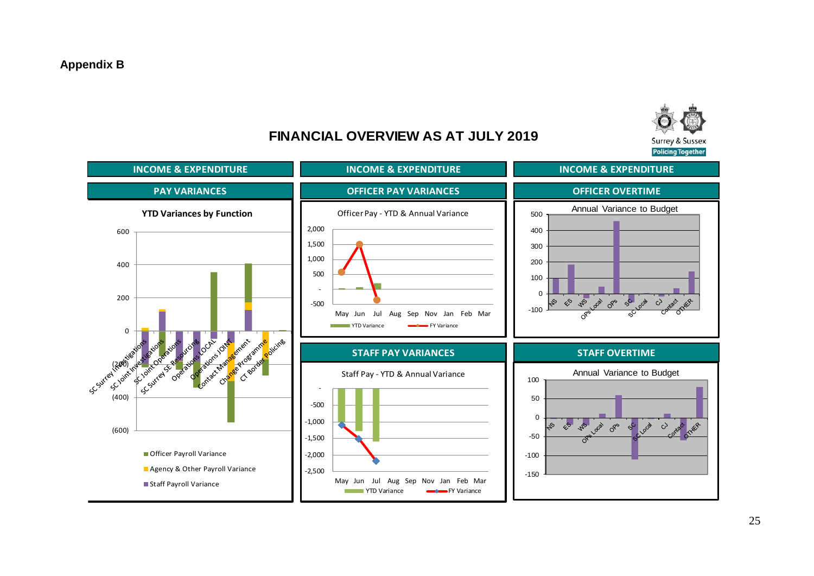

## **FINANCIAL OVERVIEW AS AT JULY 2019**

**INCOME & EXPENDITURE INCOME & EXPENDITURE INCOME & EXPENDITURE PAY VARIANCES OFFICER PAY VARIANCES OFFICER OVERTIME** <sup>500</sup> Annual Variance to Budget **YTD Variances by Function** Officer Pay - YTD & Annual Variance 2,000 400 600 1,500 300 1,000 200 400 500 100 -  $\Omega$ 200 Ps de de 50 de  $\mathcal{L}^{\mathcal{S}}$ SJ  $\mathcal{C}$ -500 -100 May Jun Jul Aug Sep Nov Jan Feb Mar **The FY Variance FY Variance**  $\Omega$ According to the contract A Construction of the ime vicine Scstreet Gottester **STAFF PAY VARIANCES STAFF OVERTIME** Scription Company Ed (2000) Coelar 100 **Annual Variance to Budget** Staff Pay - YTD & Annual Variance - 50 -500  $\Omega$ -1,000 **PILLION**  $\frac{1}{\sqrt{2}}$  $\mathcal{S}$ <u>්</u> 45 (600) -50 -1,500 **Officer Payroll Variance** -2,000  $-100$ **Agency & Other Payroll Variance** -2,500 -150 May Jun Jul Aug Sep Nov Jan Feb Mar ■ Staff Pavroll Variance **The FY Variance FY Variance**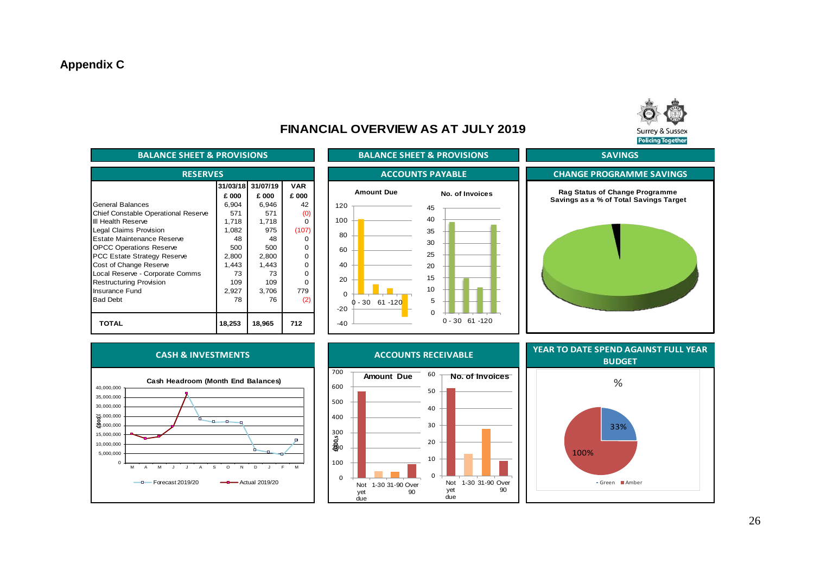

### **FINANCIAL OVERVIEW AS AT JULY 2019**

| <b>BALANCE SHEET &amp; PROVISIONS</b> |        |                   |            |  |  |  |  |  |
|---------------------------------------|--------|-------------------|------------|--|--|--|--|--|
| <b>RESERVES</b>                       |        |                   |            |  |  |  |  |  |
|                                       |        | 31/03/18 31/07/19 | <b>VAR</b> |  |  |  |  |  |
|                                       | £ 000  | £ 000             | £ 000      |  |  |  |  |  |
| General Balances                      | 6,904  | 6,946             | 42         |  |  |  |  |  |
| Chief Constable Operational Reserve   | 571    | 571               | (0)        |  |  |  |  |  |
| III Health Reserve                    | 1,718  | 1,718             | O          |  |  |  |  |  |
| Legal Claims Provision                | 1,082  | 975               | (107)      |  |  |  |  |  |
| Estate Maintenance Reserve            | 48     | 48                |            |  |  |  |  |  |
| <b>OPCC Operations Reserve</b>        | 500    | 500               | O          |  |  |  |  |  |
| <b>PCC Estate Strategy Reserve</b>    | 2,800  | 2,800             | O          |  |  |  |  |  |
| Cost of Change Reserve                | 1,443  | 1,443             | O          |  |  |  |  |  |
| Local Reserve - Corporate Comms       | 73     | 73                | O          |  |  |  |  |  |
| <b>Restructuring Provision</b>        | 109    | 109               | U          |  |  |  |  |  |
| Insurance Fund                        | 2,927  | 3,706             | 779        |  |  |  |  |  |
| <b>Bad Debt</b>                       | 78     | 76                | (2)        |  |  |  |  |  |
|                                       |        |                   |            |  |  |  |  |  |
| TOTAL                                 | 18,253 | 18,965            | 712        |  |  |  |  |  |









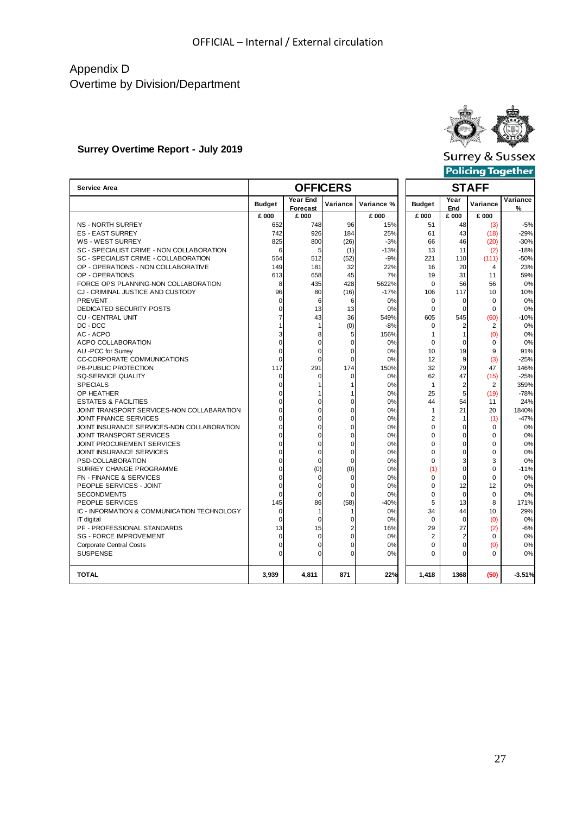### Appendix D Overtime by Division/Department

### **Surrey Overtime Report - July 2019**



**Surrey & Sussex** 

| Policing Together |  |  |
|-------------------|--|--|
|-------------------|--|--|

| <b>Service Area</b>                         |                |                             | <b>OFFICERS</b> |            |                | <b>STAFF</b>   |                  |               |  |
|---------------------------------------------|----------------|-----------------------------|-----------------|------------|----------------|----------------|------------------|---------------|--|
|                                             | <b>Budget</b>  | <b>Year End</b><br>Forecast | Variance        | Variance % | <b>Budget</b>  | Year<br>End    | Variance         | Variance<br>% |  |
|                                             | £ 000          | £ 000                       |                 | £ 000      | £ 000          | £ 000          | £ 000            |               |  |
| NS - NORTH SURREY                           | 652            | 748                         | 96              | 15%        | 51             | 48             | (3)              | $-5%$         |  |
| <b>ES - EAST SURREY</b>                     | 742            | 926                         | 184             | 25%        | 61             | 43             | (18)             | $-29%$        |  |
| <b>WS - WEST SURREY</b>                     | 825            | 800                         | (26)            | $-3%$      | 66             | 46             | (20)             | $-30%$        |  |
| SC - SPECIALIST CRIME - NON COLLABORATION   | 6              | 5                           | (1)             | $-13%$     | 13             | 11             | (2)              | $-18%$        |  |
| SC - SPECIALIST CRIME - COLLABORATION       | 564            | 512                         | (52)            | $-9%$      | 221            | 110            | (111)            | $-50%$        |  |
| OP - OPERATIONS - NON COLLABORATIVE         | 149            | 181                         | 32              | 22%        | 16             | 20             | 4                | 23%           |  |
| OP - OPERATIONS                             | 613            | 658                         | 45              | 7%         | 19             | 31             | 11               | 59%           |  |
| FORCE OPS PLANNING-NON COLLABORATION        | 8              | 435                         | 428             | 5622%      | 0              | 56             | 56               | 0%            |  |
| CJ - CRIMINAL JUSTICE AND CUSTODY           | 96             | 80                          | (16)            | $-17%$     | 106            | 117            | 10 <sup>10</sup> | 10%           |  |
| PREVENT                                     | $\Omega$       | 6                           | 6               | 0%         | $\mathbf 0$    | $\mathbf 0$    | $\Omega$         | 0%            |  |
| DEDICATED SECURITY POSTS                    | $\Omega$       | 13                          | 13              | 0%         | $\Omega$       | $\Omega$       | $\Omega$         | 0%            |  |
| <b>CU - CENTRAL UNIT</b>                    |                | 43                          | 36              | 549%       | 605            | 545            | (60)             | $-10%$        |  |
| DC - DCC                                    |                | $\mathbf{1}$                | (0)             | $-8%$      | $\mathbf 0$    | $\overline{2}$ | 2                | 0%            |  |
| AC - ACPO                                   | 3              | 8                           | 5               | 156%       | $\mathbf{1}$   | $\mathbf{1}$   | (0)              | 0%            |  |
| ACPO COLLABORATION                          | $\Omega$       | $\Omega$                    | $\mathbf 0$     | 0%         | $\mathbf 0$    | $\mathbf 0$    | $\mathbf 0$      | 0%            |  |
| AU -PCC for Surrey                          | 0              | $\mathbf 0$                 | 0               | 0%         | 10             | 19             | 9                | 91%           |  |
| <b>CC-CORPORATE COMMUNICATIONS</b>          | $\Omega$       | $\Omega$                    | $\Omega$        | 0%         | 12             | 9              | (3)              | $-25%$        |  |
| PB-PUBLIC PROTECTION                        | 117            | 291                         | 174             | 150%       | 32             | 79             | 47               | 146%          |  |
| SQ-SERVICE QUALITY                          | $\Omega$       | 0                           | $\mathbf 0$     | 0%         | 62             | 47             | (15)             | $-25%$        |  |
| <b>SPECIALS</b>                             | $\overline{0}$ | $\mathbf{1}$                | $\mathbf{1}$    | 0%         | $\mathbf{1}$   | $\overline{c}$ | 2                | 359%          |  |
| OP HEATHER                                  | $\Omega$       |                             | 1               | 0%         | 25             | 5              | (19)             | $-78%$        |  |
| <b>ESTATES &amp; FACILITIES</b>             | $\Omega$       | $\Omega$                    | $\mathbf 0$     | 0%         | 44             | 54             | 11               | 24%           |  |
| JOINT TRANSPORT SERVICES-NON COLLABARATION  | $\Omega$       | $\mathbf 0$                 | 0               | 0%         | 1              | 21             | 20               | 1840%         |  |
| <b>JOINT FINANCE SERVICES</b>               | $\Omega$       | $\Omega$                    | $\mathbf 0$     | 0%         | 2              | 1              | (1)              | $-47%$        |  |
| JOINT INSURANCE SERVICES-NON COLLABORATION  | $\Omega$       | $\Omega$                    | $\Omega$        | 0%         | $\Omega$       | $\Omega$       | $\Omega$         | 0%            |  |
| <b>JOINT TRANSPORT SERVICES</b>             | $\Omega$       | $\Omega$                    | $\Omega$        | 0%         | $\Omega$       | $\mathbf 0$    | $\Omega$         | 0%            |  |
| JOINT PROCUREMENT SERVICES                  | $\Omega$       | $\mathbf 0$                 | $\mathbf 0$     | 0%         | 0              | 0              | 0                | 0%            |  |
| <b>JOINT INSURANCE SERVICES</b>             | $\Omega$       | $\Omega$                    | $\mathbf 0$     | 0%         | 0              | $\mathbf 0$    | 0                | 0%            |  |
| PSD-COLLABORATION                           | $\Omega$       | $\Omega$                    | $\Omega$        | 0%         | $\Omega$       | 3              | 3                | 0%            |  |
| SURREY CHANGE PROGRAMME                     | $\Omega$       | (0)                         | (0)             | 0%         | (1)            | $\mathbf 0$    | 0                | $-11%$        |  |
| FN - FINANCE & SERVICES                     | $\Omega$       | $\Omega$                    | $\mathbf 0$     | 0%         | 0              | $\mathbf 0$    | 0                | 0%            |  |
| PEOPLE SERVICES - JOINT                     | $\Omega$       | $\mathbf 0$                 | 0               | 0%         | 0              | 12             | 12               | 0%            |  |
| <b>SECONDMENTS</b>                          | $\Omega$       | $\Omega$                    | $\Omega$        | 0%         | $\Omega$       | $\Omega$       | $\Omega$         | 0%            |  |
| PEOPLE SERVICES                             | 145            | 86                          | (58)            | $-40%$     | 5              | 13             | 8                | 171%          |  |
| IC - INFORMATION & COMMUNICATION TECHNOLOGY | $\Omega$       | $\mathbf{1}$                | 1               | 0%         | 34             | 44             | 10               | 29%           |  |
| IT digital                                  | $\Omega$       | $\mathbf 0$                 | $\mathbf 0$     | 0%         | $\Omega$       | $\mathbf 0$    | (0)              | 0%            |  |
| PF - PROFESSIONAL STANDARDS                 | 13             | 15                          | $\overline{2}$  | 16%        | 29             | 27             | (2)              | $-6%$         |  |
| <b>SG - FORCE IMPROVEMENT</b>               | $\Omega$       | $\mathbf 0$                 | $\mathbf 0$     | 0%         | $\overline{c}$ | $\overline{2}$ | $\Omega$         | 0%            |  |
| <b>Corporate Central Costs</b>              | $\Omega$       | $\Omega$                    | 0               | 0%         | 0              | $\mathbf 0$    | (0)              | 0%            |  |
| <b>SUSPENSE</b>                             | $\Omega$       | $\Omega$                    | $\Omega$        | 0%         | 0              | $\Omega$       | $\Omega$         | 0%            |  |
| <b>TOTAL</b>                                | 3,939          | 4,811                       | 871             | 22%        | 1,418          | 1368           | (50)             | $-3.51%$      |  |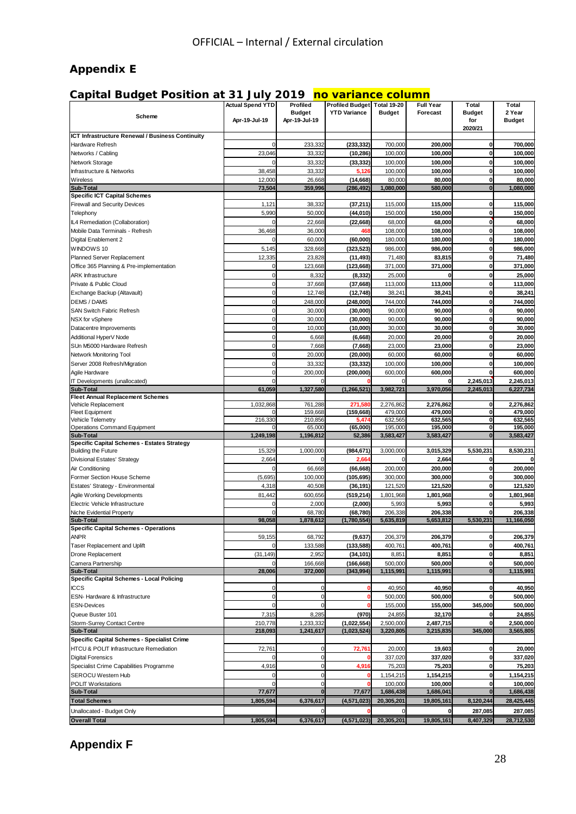### **Appendix E**

### **Capital Budget Position at 31 July 2019 no variance column**

| 2 Year<br><b>Budget</b><br><b>YTD Variance</b><br><b>Budget</b><br>Forecast<br><b>Budget</b><br>Scheme<br>Apr-19-Jul-19<br>Apr-19-Jul-19<br><b>Budget</b><br>for<br>2020/21<br>ICT Infrastructure Renewal / Business Continuity<br>233,332<br>(233, 332)<br>700,000<br>200,000<br>$\mathbf{0}$<br>Hardware Refresh<br>$\mathbf 0$<br>700,000<br>23,046<br>33,332<br>(10, 286)<br>100,000<br>100,000<br>0<br>100,000<br>Networks / Cabling<br>33,332<br>100,000<br>100,000<br>100,000<br>Network Storage<br>$\Omega$<br>(33, 332)<br>0<br>38,458<br>33,332<br>100,000<br>100,000<br>100,000<br>Infrastructure & Networks<br>5,126<br>0<br>Wireless<br>12,000<br>26,668<br>(14, 668)<br>80,000<br>80,000<br>0<br>80,000<br><b>Sub-Total</b><br>73,504<br>359,996<br>(286, 492)<br>1,080,000<br>580,000<br>$\bf{0}$<br><b>Specific ICT Capital Schemes</b><br><b>Firewall and Security Devices</b><br>1,121<br>38,332<br>115,000<br>115,000<br>(37, 211)<br>$\bf{0}$<br>5,990<br>50,000<br>(44, 010)<br>150,000<br>150,000<br>$\mathbf 0$<br>Telephony<br>22,668<br>68,000<br>68,000<br>$\mathbf 0$<br>IL4 Remediation (Collaboration)<br>$\mathbf 0$<br>(22, 668)<br>36,468<br>36,000<br>108,000<br>108,000<br>$\mathbf 0$<br>Mobile Data Terminals - Refresh<br>468<br>180,000<br>$\mathbf 0$<br>Digital Enablement 2<br>$\mathbf 0$<br>60,000<br>(60,000)<br>180.000<br>WINDOWS 10<br>5,145<br>328,668<br>986,000<br>$\mathbf 0$<br>(323, 523)<br>986,000<br>12,335<br>23,828<br>71,480<br>$\mathbf{0}$<br>Planned Server Replacement<br>(11, 493)<br>83,815<br>$\pmb{0}$<br>123,668<br>$\mathbf 0$<br>Office 365 Planning & Pre-implementation<br>(123, 668)<br>371,000<br>371,000<br>$\mathbf 0$<br>8,332<br>25,000<br>$\mathbf 0$<br><b>ARK Infrastructure</b><br>(8, 332)<br>0<br>$\mathbf 0$<br>37,668<br>(37, 668)<br>113,000<br>113,000<br>$\mathbf 0$<br>Private & Public Cloud<br>$\pmb{0}$<br>12,748<br>38,241<br>38,241<br>$\mathbf 0$<br>Exchange Backup (Altavault)<br>(12, 748)<br>38,241<br><b>DEMS / DAMS</b><br>$\pmb{0}$<br>248,000<br>(248,000)<br>744,000<br>744,000<br>0<br>SAN Switch Fabric Refresh<br>$\pmb{0}$<br>30,000<br>(30,000)<br>90,000<br>90,000<br>0<br>$\mathbf 0$<br>90,000<br>$\mathbf 0$<br>30,000<br>(30,000)<br>90,000<br>NSX for vSphere<br>$\mathbf 0$<br>$\mathbf 0$<br>Datacentre Improvements<br>10,000<br>(10,000)<br>30,000<br>30.000<br>$\mathbf 0$<br>6,668<br>(6, 668)<br>20,000<br>20,000<br>$\mathbf 0$<br>Additional HyperV Node<br>$\mathbf 0$<br>SUn M5000 Hardware Refresh<br>7,668<br>23,000<br>$\mathbf 0$<br>(7,668)<br>23,000<br>$\mathbf 0$<br>20,000<br>(20,000)<br>60,000<br>60,000<br>$\mathbf 0$<br>Network Monitoring Tool<br>$\mathbf 0$<br>Server 2008 Refresh/Migration<br>33,332<br>(33, 332)<br>100,000<br>100,000<br>0<br>$\mathbf 0$<br>200,000<br>(200, 000)<br>600,000<br>600,000<br>Agile Hardware<br>$\mathbf 0$<br>IT Developments (unallocated)<br>2,245,013<br>$\Omega$<br>0<br>1,327,580<br>3,982,721<br>2,245,013<br><b>Sub-Total</b><br>61,059<br>(1,266,521)<br>3,970,056<br>6,227,734<br><b>Fleet Annual Replacement Schemes</b><br>Vehicle Replacement<br>1,032,868<br>761,288<br>271,580<br>2,276,862<br>2,276,862<br>$\mathbf 0$<br>479,000<br>159,668<br>(159, 668)<br>479,000<br>0<br><b>Fleet Equipment</b><br>O<br>216,330<br>210,856<br>632,565<br>632,565<br>$\mathbf 0$<br><b>Vehicle Telemetry</b><br>5.474<br>65,000<br>(65,000)<br>195,000<br>195,000<br>Operations Command Equipment<br>$\mathbf 0$<br>n<br>1,249,198<br>1,196,812<br>52,386<br>3,583,427<br>3,583,427<br>$\bf{0}$<br>3,583,427<br><b>Sub-Total</b><br>Specific Capital Schemes - Estates Strategy<br>15,329<br>1,000,000<br>(984, 671)<br>3,000,000<br>3,015,329<br>5,530,231<br><b>Building the Future</b><br>8,530,231<br>2,664<br>2,664<br>Divisional Estates' Strategy<br>2,664<br>$\mathbf 0$<br>O<br>C<br>66,668<br>200,000<br>200,000<br>0<br>Air Conditioning<br>(66, 668)<br>0<br>(5,695)<br>100,000<br>300,000<br>300,000<br>Former Section House Scheme<br>(105, 695)<br>$\mathbf 0$<br>4,318<br>40,508<br>121,520<br>121,520<br>0<br>Estates' Strategy - Environmental<br>(36, 191)<br>Agile Working Developments<br>81,442<br>600,656<br>(519, 214)<br>1,801,968<br>1,801,968<br>$\mathbf 0$<br>$\mathbf 0$<br>2,000<br>5,993<br>5,993<br>$\mathbf 0$<br>Electric Vehicle Infrastructure<br>(2,000)<br>Niche Evidential Property<br>$\mathbf 0$<br>68,780<br>(68, 780)<br>206,338<br>206,338<br>$\mathbf 0$<br><b>Sub-Total</b><br>98,058<br>1,878,612<br>(1,780,554)<br>5,635,819<br>5,653,812<br>5,530,231<br><b>Specific Capital Schemes - Operations</b><br><b>ANPR</b><br>59,155<br>68,792<br>(9,637)<br>206,379<br>206,379<br>$\mathbf{0}$<br>Taser Replacement and Uplift<br>133,588<br>(133, 588)<br>400,761<br>400,761<br>0<br>2,952<br>Drone Replacement<br>(31, 149)<br>(34, 101)<br>8,851<br>8,851<br>$\mathbf 0$<br>Camera Partnership<br>166,668<br>(166, 668)<br>500,000<br>500.000<br>$\mathbf 0$<br>28,006<br><b>Sub-Total</b><br>372,000<br>(343,994)<br>1,115,991<br>1,115,991<br>$\bf{0}$<br>1,115,991<br>Specific Capital Schemes - Local Policing<br>40,950<br><b>ICCS</b><br>$\mathbf 0$<br>$\mathbf 0$<br>40,950<br>$\mathbf 0$<br>C<br>$\mathbf 0$<br>$\mathbf 0$<br>500,000<br>ESN- Hardware & Infrastructure<br>500,000<br>0<br>$\mathbf 0$<br><b>ESN-Devices</b><br>$\mathbf 0$<br>155,000<br>155,000<br>345,000<br>$\Omega$<br>Queue Buster 101<br>8,285<br>(970)<br>24,855<br>32,170<br>7,315<br>$\mathbf 0$<br>Storm-Surrey Contact Centre<br>210,778<br>1,233,332<br>(1,022,554)<br>2,500,000<br>2,487,715<br>$\mathbf{0}$<br>345,000<br>Sub-Total<br>218,093<br>1,241,617<br>(1,023,524)<br>3,220,805<br>3,215,835<br>Specific Capital Schemes - Specialist Crime<br>HTCU & POLIT Infrastructure Remediation<br>72,761<br>19,603<br>$\mathbf{0}$<br>72,761<br>20,000<br>$\mathbf 0$<br><b>Digital Forensics</b><br>$\mathbf 0$<br>337,020<br>337,020<br>0<br>$\mathbf{0}$<br>$\overline{0}$<br>Specialist Crime Capabilities Programme<br>4,916<br>4,916<br>75,203<br>75,203<br>$\mathbf 0$<br><b>SEROCU Western Hub</b><br>$\mathbf 0$<br>1,154,215<br>$\mathbf 0$<br>1,154,215<br>$\mathbf 0$<br><b>POLIT Workstations</b><br>$\Omega$<br>$\mathbf 0$<br>100,000<br>100,000<br>$\mathbf{0}$<br>Sub-Total<br>77,677<br>$\mathbf{0}$<br>77,677<br>1,686,438<br>1,686,041<br>$\bf{0}$<br>1,805,594<br>8,120,244<br><b>Total Schemes</b><br>6,376,617<br>(4,571,023)<br>20,305,201<br>19,805,161<br>Unallocated - Budget Only<br>287,085<br>0<br>O<br>(4,571,023) |                      | <b>Actual Spend YTD</b> | Profiled  | Profiled Budget Total 19-20 |            | <b>Full Year</b> | Total     | Total      |
|-----------------------------------------------------------------------------------------------------------------------------------------------------------------------------------------------------------------------------------------------------------------------------------------------------------------------------------------------------------------------------------------------------------------------------------------------------------------------------------------------------------------------------------------------------------------------------------------------------------------------------------------------------------------------------------------------------------------------------------------------------------------------------------------------------------------------------------------------------------------------------------------------------------------------------------------------------------------------------------------------------------------------------------------------------------------------------------------------------------------------------------------------------------------------------------------------------------------------------------------------------------------------------------------------------------------------------------------------------------------------------------------------------------------------------------------------------------------------------------------------------------------------------------------------------------------------------------------------------------------------------------------------------------------------------------------------------------------------------------------------------------------------------------------------------------------------------------------------------------------------------------------------------------------------------------------------------------------------------------------------------------------------------------------------------------------------------------------------------------------------------------------------------------------------------------------------------------------------------------------------------------------------------------------------------------------------------------------------------------------------------------------------------------------------------------------------------------------------------------------------------------------------------------------------------------------------------------------------------------------------------------------------------------------------------------------------------------------------------------------------------------------------------------------------------------------------------------------------------------------------------------------------------------------------------------------------------------------------------------------------------------------------------------------------------------------------------------------------------------------------------------------------------------------------------------------------------------------------------------------------------------------------------------------------------------------------------------------------------------------------------------------------------------------------------------------------------------------------------------------------------------------------------------------------------------------------------------------------------------------------------------------------------------------------------------------------------------------------------------------------------------------------------------------------------------------------------------------------------------------------------------------------------------------------------------------------------------------------------------------------------------------------------------------------------------------------------------------------------------------------------------------------------------------------------------------------------------------------------------------------------------------------------------------------------------------------------------------------------------------------------------------------------------------------------------------------------------------------------------------------------------------------------------------------------------------------------------------------------------------------------------------------------------------------------------------------------------------------------------------------------------------------------------------------------------------------------------------------------------------------------------------------------------------------------------------------------------------------------------------------------------------------------------------------------------------------------------------------------------------------------------------------------------------------------------------------------------------------------------------------------------------------------------------------------------------------------------------------------------------------------------------------------------------------------------------------------------------------------------------------------------------------------------------------------------------------------------------------------------------------------------------------------------------------------------------------------------------------------------------------------------------------------------------------------------------------------------------------------------------------------------------------------------------------------------------------------------------------------------------------------------------------------------------------------------------------------------------------------------------------------------------------------------------------------------------------------------------------------------------------------------------------------------------------------------------------------------------------------------------------------------------------------------------------------------------------------------------------------------------------------------------------------------------------------------------------------------|----------------------|-------------------------|-----------|-----------------------------|------------|------------------|-----------|------------|
|                                                                                                                                                                                                                                                                                                                                                                                                                                                                                                                                                                                                                                                                                                                                                                                                                                                                                                                                                                                                                                                                                                                                                                                                                                                                                                                                                                                                                                                                                                                                                                                                                                                                                                                                                                                                                                                                                                                                                                                                                                                                                                                                                                                                                                                                                                                                                                                                                                                                                                                                                                                                                                                                                                                                                                                                                                                                                                                                                                                                                                                                                                                                                                                                                                                                                                                                                                                                                                                                                                                                                                                                                                                                                                                                                                                                                                                                                                                                                                                                                                                                                                                                                                                                                                                                                                                                                                                                                                                                                                                                                                                                                                                                                                                                                                                                                                                                                                                                                                                                                                                                                                                                                                                                                                                                                                                                                                                                                                                                                                                                                                                                                                                                                                                                                                                                                                                                                                                                                                                                                                                                                                                                                                                                                                                                                                                                                                                                                                                                                                                                                                                   |                      |                         |           |                             |            |                  |           |            |
|                                                                                                                                                                                                                                                                                                                                                                                                                                                                                                                                                                                                                                                                                                                                                                                                                                                                                                                                                                                                                                                                                                                                                                                                                                                                                                                                                                                                                                                                                                                                                                                                                                                                                                                                                                                                                                                                                                                                                                                                                                                                                                                                                                                                                                                                                                                                                                                                                                                                                                                                                                                                                                                                                                                                                                                                                                                                                                                                                                                                                                                                                                                                                                                                                                                                                                                                                                                                                                                                                                                                                                                                                                                                                                                                                                                                                                                                                                                                                                                                                                                                                                                                                                                                                                                                                                                                                                                                                                                                                                                                                                                                                                                                                                                                                                                                                                                                                                                                                                                                                                                                                                                                                                                                                                                                                                                                                                                                                                                                                                                                                                                                                                                                                                                                                                                                                                                                                                                                                                                                                                                                                                                                                                                                                                                                                                                                                                                                                                                                                                                                                                                   |                      |                         |           |                             |            |                  |           |            |
|                                                                                                                                                                                                                                                                                                                                                                                                                                                                                                                                                                                                                                                                                                                                                                                                                                                                                                                                                                                                                                                                                                                                                                                                                                                                                                                                                                                                                                                                                                                                                                                                                                                                                                                                                                                                                                                                                                                                                                                                                                                                                                                                                                                                                                                                                                                                                                                                                                                                                                                                                                                                                                                                                                                                                                                                                                                                                                                                                                                                                                                                                                                                                                                                                                                                                                                                                                                                                                                                                                                                                                                                                                                                                                                                                                                                                                                                                                                                                                                                                                                                                                                                                                                                                                                                                                                                                                                                                                                                                                                                                                                                                                                                                                                                                                                                                                                                                                                                                                                                                                                                                                                                                                                                                                                                                                                                                                                                                                                                                                                                                                                                                                                                                                                                                                                                                                                                                                                                                                                                                                                                                                                                                                                                                                                                                                                                                                                                                                                                                                                                                                                   |                      |                         |           |                             |            |                  |           |            |
|                                                                                                                                                                                                                                                                                                                                                                                                                                                                                                                                                                                                                                                                                                                                                                                                                                                                                                                                                                                                                                                                                                                                                                                                                                                                                                                                                                                                                                                                                                                                                                                                                                                                                                                                                                                                                                                                                                                                                                                                                                                                                                                                                                                                                                                                                                                                                                                                                                                                                                                                                                                                                                                                                                                                                                                                                                                                                                                                                                                                                                                                                                                                                                                                                                                                                                                                                                                                                                                                                                                                                                                                                                                                                                                                                                                                                                                                                                                                                                                                                                                                                                                                                                                                                                                                                                                                                                                                                                                                                                                                                                                                                                                                                                                                                                                                                                                                                                                                                                                                                                                                                                                                                                                                                                                                                                                                                                                                                                                                                                                                                                                                                                                                                                                                                                                                                                                                                                                                                                                                                                                                                                                                                                                                                                                                                                                                                                                                                                                                                                                                                                                   |                      |                         |           |                             |            |                  |           |            |
|                                                                                                                                                                                                                                                                                                                                                                                                                                                                                                                                                                                                                                                                                                                                                                                                                                                                                                                                                                                                                                                                                                                                                                                                                                                                                                                                                                                                                                                                                                                                                                                                                                                                                                                                                                                                                                                                                                                                                                                                                                                                                                                                                                                                                                                                                                                                                                                                                                                                                                                                                                                                                                                                                                                                                                                                                                                                                                                                                                                                                                                                                                                                                                                                                                                                                                                                                                                                                                                                                                                                                                                                                                                                                                                                                                                                                                                                                                                                                                                                                                                                                                                                                                                                                                                                                                                                                                                                                                                                                                                                                                                                                                                                                                                                                                                                                                                                                                                                                                                                                                                                                                                                                                                                                                                                                                                                                                                                                                                                                                                                                                                                                                                                                                                                                                                                                                                                                                                                                                                                                                                                                                                                                                                                                                                                                                                                                                                                                                                                                                                                                                                   |                      |                         |           |                             |            |                  |           |            |
|                                                                                                                                                                                                                                                                                                                                                                                                                                                                                                                                                                                                                                                                                                                                                                                                                                                                                                                                                                                                                                                                                                                                                                                                                                                                                                                                                                                                                                                                                                                                                                                                                                                                                                                                                                                                                                                                                                                                                                                                                                                                                                                                                                                                                                                                                                                                                                                                                                                                                                                                                                                                                                                                                                                                                                                                                                                                                                                                                                                                                                                                                                                                                                                                                                                                                                                                                                                                                                                                                                                                                                                                                                                                                                                                                                                                                                                                                                                                                                                                                                                                                                                                                                                                                                                                                                                                                                                                                                                                                                                                                                                                                                                                                                                                                                                                                                                                                                                                                                                                                                                                                                                                                                                                                                                                                                                                                                                                                                                                                                                                                                                                                                                                                                                                                                                                                                                                                                                                                                                                                                                                                                                                                                                                                                                                                                                                                                                                                                                                                                                                                                                   |                      |                         |           |                             |            |                  |           |            |
|                                                                                                                                                                                                                                                                                                                                                                                                                                                                                                                                                                                                                                                                                                                                                                                                                                                                                                                                                                                                                                                                                                                                                                                                                                                                                                                                                                                                                                                                                                                                                                                                                                                                                                                                                                                                                                                                                                                                                                                                                                                                                                                                                                                                                                                                                                                                                                                                                                                                                                                                                                                                                                                                                                                                                                                                                                                                                                                                                                                                                                                                                                                                                                                                                                                                                                                                                                                                                                                                                                                                                                                                                                                                                                                                                                                                                                                                                                                                                                                                                                                                                                                                                                                                                                                                                                                                                                                                                                                                                                                                                                                                                                                                                                                                                                                                                                                                                                                                                                                                                                                                                                                                                                                                                                                                                                                                                                                                                                                                                                                                                                                                                                                                                                                                                                                                                                                                                                                                                                                                                                                                                                                                                                                                                                                                                                                                                                                                                                                                                                                                                                                   |                      |                         |           |                             |            |                  |           |            |
|                                                                                                                                                                                                                                                                                                                                                                                                                                                                                                                                                                                                                                                                                                                                                                                                                                                                                                                                                                                                                                                                                                                                                                                                                                                                                                                                                                                                                                                                                                                                                                                                                                                                                                                                                                                                                                                                                                                                                                                                                                                                                                                                                                                                                                                                                                                                                                                                                                                                                                                                                                                                                                                                                                                                                                                                                                                                                                                                                                                                                                                                                                                                                                                                                                                                                                                                                                                                                                                                                                                                                                                                                                                                                                                                                                                                                                                                                                                                                                                                                                                                                                                                                                                                                                                                                                                                                                                                                                                                                                                                                                                                                                                                                                                                                                                                                                                                                                                                                                                                                                                                                                                                                                                                                                                                                                                                                                                                                                                                                                                                                                                                                                                                                                                                                                                                                                                                                                                                                                                                                                                                                                                                                                                                                                                                                                                                                                                                                                                                                                                                                                                   |                      |                         |           |                             |            |                  |           |            |
| 115,000<br>150,000                                                                                                                                                                                                                                                                                                                                                                                                                                                                                                                                                                                                                                                                                                                                                                                                                                                                                                                                                                                                                                                                                                                                                                                                                                                                                                                                                                                                                                                                                                                                                                                                                                                                                                                                                                                                                                                                                                                                                                                                                                                                                                                                                                                                                                                                                                                                                                                                                                                                                                                                                                                                                                                                                                                                                                                                                                                                                                                                                                                                                                                                                                                                                                                                                                                                                                                                                                                                                                                                                                                                                                                                                                                                                                                                                                                                                                                                                                                                                                                                                                                                                                                                                                                                                                                                                                                                                                                                                                                                                                                                                                                                                                                                                                                                                                                                                                                                                                                                                                                                                                                                                                                                                                                                                                                                                                                                                                                                                                                                                                                                                                                                                                                                                                                                                                                                                                                                                                                                                                                                                                                                                                                                                                                                                                                                                                                                                                                                                                                                                                                                                                |                      |                         |           |                             |            |                  |           | 1,080,000  |
|                                                                                                                                                                                                                                                                                                                                                                                                                                                                                                                                                                                                                                                                                                                                                                                                                                                                                                                                                                                                                                                                                                                                                                                                                                                                                                                                                                                                                                                                                                                                                                                                                                                                                                                                                                                                                                                                                                                                                                                                                                                                                                                                                                                                                                                                                                                                                                                                                                                                                                                                                                                                                                                                                                                                                                                                                                                                                                                                                                                                                                                                                                                                                                                                                                                                                                                                                                                                                                                                                                                                                                                                                                                                                                                                                                                                                                                                                                                                                                                                                                                                                                                                                                                                                                                                                                                                                                                                                                                                                                                                                                                                                                                                                                                                                                                                                                                                                                                                                                                                                                                                                                                                                                                                                                                                                                                                                                                                                                                                                                                                                                                                                                                                                                                                                                                                                                                                                                                                                                                                                                                                                                                                                                                                                                                                                                                                                                                                                                                                                                                                                                                   |                      |                         |           |                             |            |                  |           |            |
| 68,000<br>108,000<br>180,000<br>986,000<br>71,480<br>371,000<br>25,000<br>113,000<br>744,000<br>90,000<br>90,000<br>30,000<br>20,000<br>23,000<br>60,000<br>100,000<br>600,000<br>2,245,013                                                                                                                                                                                                                                                                                                                                                                                                                                                                                                                                                                                                                                                                                                                                                                                                                                                                                                                                                                                                                                                                                                                                                                                                                                                                                                                                                                                                                                                                                                                                                                                                                                                                                                                                                                                                                                                                                                                                                                                                                                                                                                                                                                                                                                                                                                                                                                                                                                                                                                                                                                                                                                                                                                                                                                                                                                                                                                                                                                                                                                                                                                                                                                                                                                                                                                                                                                                                                                                                                                                                                                                                                                                                                                                                                                                                                                                                                                                                                                                                                                                                                                                                                                                                                                                                                                                                                                                                                                                                                                                                                                                                                                                                                                                                                                                                                                                                                                                                                                                                                                                                                                                                                                                                                                                                                                                                                                                                                                                                                                                                                                                                                                                                                                                                                                                                                                                                                                                                                                                                                                                                                                                                                                                                                                                                                                                                                                                       |                      |                         |           |                             |            |                  |           |            |
|                                                                                                                                                                                                                                                                                                                                                                                                                                                                                                                                                                                                                                                                                                                                                                                                                                                                                                                                                                                                                                                                                                                                                                                                                                                                                                                                                                                                                                                                                                                                                                                                                                                                                                                                                                                                                                                                                                                                                                                                                                                                                                                                                                                                                                                                                                                                                                                                                                                                                                                                                                                                                                                                                                                                                                                                                                                                                                                                                                                                                                                                                                                                                                                                                                                                                                                                                                                                                                                                                                                                                                                                                                                                                                                                                                                                                                                                                                                                                                                                                                                                                                                                                                                                                                                                                                                                                                                                                                                                                                                                                                                                                                                                                                                                                                                                                                                                                                                                                                                                                                                                                                                                                                                                                                                                                                                                                                                                                                                                                                                                                                                                                                                                                                                                                                                                                                                                                                                                                                                                                                                                                                                                                                                                                                                                                                                                                                                                                                                                                                                                                                                   |                      |                         |           |                             |            |                  |           |            |
|                                                                                                                                                                                                                                                                                                                                                                                                                                                                                                                                                                                                                                                                                                                                                                                                                                                                                                                                                                                                                                                                                                                                                                                                                                                                                                                                                                                                                                                                                                                                                                                                                                                                                                                                                                                                                                                                                                                                                                                                                                                                                                                                                                                                                                                                                                                                                                                                                                                                                                                                                                                                                                                                                                                                                                                                                                                                                                                                                                                                                                                                                                                                                                                                                                                                                                                                                                                                                                                                                                                                                                                                                                                                                                                                                                                                                                                                                                                                                                                                                                                                                                                                                                                                                                                                                                                                                                                                                                                                                                                                                                                                                                                                                                                                                                                                                                                                                                                                                                                                                                                                                                                                                                                                                                                                                                                                                                                                                                                                                                                                                                                                                                                                                                                                                                                                                                                                                                                                                                                                                                                                                                                                                                                                                                                                                                                                                                                                                                                                                                                                                                                   |                      |                         |           |                             |            |                  |           |            |
|                                                                                                                                                                                                                                                                                                                                                                                                                                                                                                                                                                                                                                                                                                                                                                                                                                                                                                                                                                                                                                                                                                                                                                                                                                                                                                                                                                                                                                                                                                                                                                                                                                                                                                                                                                                                                                                                                                                                                                                                                                                                                                                                                                                                                                                                                                                                                                                                                                                                                                                                                                                                                                                                                                                                                                                                                                                                                                                                                                                                                                                                                                                                                                                                                                                                                                                                                                                                                                                                                                                                                                                                                                                                                                                                                                                                                                                                                                                                                                                                                                                                                                                                                                                                                                                                                                                                                                                                                                                                                                                                                                                                                                                                                                                                                                                                                                                                                                                                                                                                                                                                                                                                                                                                                                                                                                                                                                                                                                                                                                                                                                                                                                                                                                                                                                                                                                                                                                                                                                                                                                                                                                                                                                                                                                                                                                                                                                                                                                                                                                                                                                                   |                      |                         |           |                             |            |                  |           |            |
|                                                                                                                                                                                                                                                                                                                                                                                                                                                                                                                                                                                                                                                                                                                                                                                                                                                                                                                                                                                                                                                                                                                                                                                                                                                                                                                                                                                                                                                                                                                                                                                                                                                                                                                                                                                                                                                                                                                                                                                                                                                                                                                                                                                                                                                                                                                                                                                                                                                                                                                                                                                                                                                                                                                                                                                                                                                                                                                                                                                                                                                                                                                                                                                                                                                                                                                                                                                                                                                                                                                                                                                                                                                                                                                                                                                                                                                                                                                                                                                                                                                                                                                                                                                                                                                                                                                                                                                                                                                                                                                                                                                                                                                                                                                                                                                                                                                                                                                                                                                                                                                                                                                                                                                                                                                                                                                                                                                                                                                                                                                                                                                                                                                                                                                                                                                                                                                                                                                                                                                                                                                                                                                                                                                                                                                                                                                                                                                                                                                                                                                                                                                   |                      |                         |           |                             |            |                  |           |            |
|                                                                                                                                                                                                                                                                                                                                                                                                                                                                                                                                                                                                                                                                                                                                                                                                                                                                                                                                                                                                                                                                                                                                                                                                                                                                                                                                                                                                                                                                                                                                                                                                                                                                                                                                                                                                                                                                                                                                                                                                                                                                                                                                                                                                                                                                                                                                                                                                                                                                                                                                                                                                                                                                                                                                                                                                                                                                                                                                                                                                                                                                                                                                                                                                                                                                                                                                                                                                                                                                                                                                                                                                                                                                                                                                                                                                                                                                                                                                                                                                                                                                                                                                                                                                                                                                                                                                                                                                                                                                                                                                                                                                                                                                                                                                                                                                                                                                                                                                                                                                                                                                                                                                                                                                                                                                                                                                                                                                                                                                                                                                                                                                                                                                                                                                                                                                                                                                                                                                                                                                                                                                                                                                                                                                                                                                                                                                                                                                                                                                                                                                                                                   |                      |                         |           |                             |            |                  |           |            |
|                                                                                                                                                                                                                                                                                                                                                                                                                                                                                                                                                                                                                                                                                                                                                                                                                                                                                                                                                                                                                                                                                                                                                                                                                                                                                                                                                                                                                                                                                                                                                                                                                                                                                                                                                                                                                                                                                                                                                                                                                                                                                                                                                                                                                                                                                                                                                                                                                                                                                                                                                                                                                                                                                                                                                                                                                                                                                                                                                                                                                                                                                                                                                                                                                                                                                                                                                                                                                                                                                                                                                                                                                                                                                                                                                                                                                                                                                                                                                                                                                                                                                                                                                                                                                                                                                                                                                                                                                                                                                                                                                                                                                                                                                                                                                                                                                                                                                                                                                                                                                                                                                                                                                                                                                                                                                                                                                                                                                                                                                                                                                                                                                                                                                                                                                                                                                                                                                                                                                                                                                                                                                                                                                                                                                                                                                                                                                                                                                                                                                                                                                                                   |                      |                         |           |                             |            |                  |           |            |
|                                                                                                                                                                                                                                                                                                                                                                                                                                                                                                                                                                                                                                                                                                                                                                                                                                                                                                                                                                                                                                                                                                                                                                                                                                                                                                                                                                                                                                                                                                                                                                                                                                                                                                                                                                                                                                                                                                                                                                                                                                                                                                                                                                                                                                                                                                                                                                                                                                                                                                                                                                                                                                                                                                                                                                                                                                                                                                                                                                                                                                                                                                                                                                                                                                                                                                                                                                                                                                                                                                                                                                                                                                                                                                                                                                                                                                                                                                                                                                                                                                                                                                                                                                                                                                                                                                                                                                                                                                                                                                                                                                                                                                                                                                                                                                                                                                                                                                                                                                                                                                                                                                                                                                                                                                                                                                                                                                                                                                                                                                                                                                                                                                                                                                                                                                                                                                                                                                                                                                                                                                                                                                                                                                                                                                                                                                                                                                                                                                                                                                                                                                                   |                      |                         |           |                             |            |                  |           |            |
|                                                                                                                                                                                                                                                                                                                                                                                                                                                                                                                                                                                                                                                                                                                                                                                                                                                                                                                                                                                                                                                                                                                                                                                                                                                                                                                                                                                                                                                                                                                                                                                                                                                                                                                                                                                                                                                                                                                                                                                                                                                                                                                                                                                                                                                                                                                                                                                                                                                                                                                                                                                                                                                                                                                                                                                                                                                                                                                                                                                                                                                                                                                                                                                                                                                                                                                                                                                                                                                                                                                                                                                                                                                                                                                                                                                                                                                                                                                                                                                                                                                                                                                                                                                                                                                                                                                                                                                                                                                                                                                                                                                                                                                                                                                                                                                                                                                                                                                                                                                                                                                                                                                                                                                                                                                                                                                                                                                                                                                                                                                                                                                                                                                                                                                                                                                                                                                                                                                                                                                                                                                                                                                                                                                                                                                                                                                                                                                                                                                                                                                                                                                   |                      |                         |           |                             |            |                  |           |            |
|                                                                                                                                                                                                                                                                                                                                                                                                                                                                                                                                                                                                                                                                                                                                                                                                                                                                                                                                                                                                                                                                                                                                                                                                                                                                                                                                                                                                                                                                                                                                                                                                                                                                                                                                                                                                                                                                                                                                                                                                                                                                                                                                                                                                                                                                                                                                                                                                                                                                                                                                                                                                                                                                                                                                                                                                                                                                                                                                                                                                                                                                                                                                                                                                                                                                                                                                                                                                                                                                                                                                                                                                                                                                                                                                                                                                                                                                                                                                                                                                                                                                                                                                                                                                                                                                                                                                                                                                                                                                                                                                                                                                                                                                                                                                                                                                                                                                                                                                                                                                                                                                                                                                                                                                                                                                                                                                                                                                                                                                                                                                                                                                                                                                                                                                                                                                                                                                                                                                                                                                                                                                                                                                                                                                                                                                                                                                                                                                                                                                                                                                                                                   |                      |                         |           |                             |            |                  |           |            |
|                                                                                                                                                                                                                                                                                                                                                                                                                                                                                                                                                                                                                                                                                                                                                                                                                                                                                                                                                                                                                                                                                                                                                                                                                                                                                                                                                                                                                                                                                                                                                                                                                                                                                                                                                                                                                                                                                                                                                                                                                                                                                                                                                                                                                                                                                                                                                                                                                                                                                                                                                                                                                                                                                                                                                                                                                                                                                                                                                                                                                                                                                                                                                                                                                                                                                                                                                                                                                                                                                                                                                                                                                                                                                                                                                                                                                                                                                                                                                                                                                                                                                                                                                                                                                                                                                                                                                                                                                                                                                                                                                                                                                                                                                                                                                                                                                                                                                                                                                                                                                                                                                                                                                                                                                                                                                                                                                                                                                                                                                                                                                                                                                                                                                                                                                                                                                                                                                                                                                                                                                                                                                                                                                                                                                                                                                                                                                                                                                                                                                                                                                                                   |                      |                         |           |                             |            |                  |           |            |
|                                                                                                                                                                                                                                                                                                                                                                                                                                                                                                                                                                                                                                                                                                                                                                                                                                                                                                                                                                                                                                                                                                                                                                                                                                                                                                                                                                                                                                                                                                                                                                                                                                                                                                                                                                                                                                                                                                                                                                                                                                                                                                                                                                                                                                                                                                                                                                                                                                                                                                                                                                                                                                                                                                                                                                                                                                                                                                                                                                                                                                                                                                                                                                                                                                                                                                                                                                                                                                                                                                                                                                                                                                                                                                                                                                                                                                                                                                                                                                                                                                                                                                                                                                                                                                                                                                                                                                                                                                                                                                                                                                                                                                                                                                                                                                                                                                                                                                                                                                                                                                                                                                                                                                                                                                                                                                                                                                                                                                                                                                                                                                                                                                                                                                                                                                                                                                                                                                                                                                                                                                                                                                                                                                                                                                                                                                                                                                                                                                                                                                                                                                                   |                      |                         |           |                             |            |                  |           |            |
|                                                                                                                                                                                                                                                                                                                                                                                                                                                                                                                                                                                                                                                                                                                                                                                                                                                                                                                                                                                                                                                                                                                                                                                                                                                                                                                                                                                                                                                                                                                                                                                                                                                                                                                                                                                                                                                                                                                                                                                                                                                                                                                                                                                                                                                                                                                                                                                                                                                                                                                                                                                                                                                                                                                                                                                                                                                                                                                                                                                                                                                                                                                                                                                                                                                                                                                                                                                                                                                                                                                                                                                                                                                                                                                                                                                                                                                                                                                                                                                                                                                                                                                                                                                                                                                                                                                                                                                                                                                                                                                                                                                                                                                                                                                                                                                                                                                                                                                                                                                                                                                                                                                                                                                                                                                                                                                                                                                                                                                                                                                                                                                                                                                                                                                                                                                                                                                                                                                                                                                                                                                                                                                                                                                                                                                                                                                                                                                                                                                                                                                                                                                   |                      |                         |           |                             |            |                  |           |            |
|                                                                                                                                                                                                                                                                                                                                                                                                                                                                                                                                                                                                                                                                                                                                                                                                                                                                                                                                                                                                                                                                                                                                                                                                                                                                                                                                                                                                                                                                                                                                                                                                                                                                                                                                                                                                                                                                                                                                                                                                                                                                                                                                                                                                                                                                                                                                                                                                                                                                                                                                                                                                                                                                                                                                                                                                                                                                                                                                                                                                                                                                                                                                                                                                                                                                                                                                                                                                                                                                                                                                                                                                                                                                                                                                                                                                                                                                                                                                                                                                                                                                                                                                                                                                                                                                                                                                                                                                                                                                                                                                                                                                                                                                                                                                                                                                                                                                                                                                                                                                                                                                                                                                                                                                                                                                                                                                                                                                                                                                                                                                                                                                                                                                                                                                                                                                                                                                                                                                                                                                                                                                                                                                                                                                                                                                                                                                                                                                                                                                                                                                                                                   |                      |                         |           |                             |            |                  |           |            |
|                                                                                                                                                                                                                                                                                                                                                                                                                                                                                                                                                                                                                                                                                                                                                                                                                                                                                                                                                                                                                                                                                                                                                                                                                                                                                                                                                                                                                                                                                                                                                                                                                                                                                                                                                                                                                                                                                                                                                                                                                                                                                                                                                                                                                                                                                                                                                                                                                                                                                                                                                                                                                                                                                                                                                                                                                                                                                                                                                                                                                                                                                                                                                                                                                                                                                                                                                                                                                                                                                                                                                                                                                                                                                                                                                                                                                                                                                                                                                                                                                                                                                                                                                                                                                                                                                                                                                                                                                                                                                                                                                                                                                                                                                                                                                                                                                                                                                                                                                                                                                                                                                                                                                                                                                                                                                                                                                                                                                                                                                                                                                                                                                                                                                                                                                                                                                                                                                                                                                                                                                                                                                                                                                                                                                                                                                                                                                                                                                                                                                                                                                                                   |                      |                         |           |                             |            |                  |           |            |
|                                                                                                                                                                                                                                                                                                                                                                                                                                                                                                                                                                                                                                                                                                                                                                                                                                                                                                                                                                                                                                                                                                                                                                                                                                                                                                                                                                                                                                                                                                                                                                                                                                                                                                                                                                                                                                                                                                                                                                                                                                                                                                                                                                                                                                                                                                                                                                                                                                                                                                                                                                                                                                                                                                                                                                                                                                                                                                                                                                                                                                                                                                                                                                                                                                                                                                                                                                                                                                                                                                                                                                                                                                                                                                                                                                                                                                                                                                                                                                                                                                                                                                                                                                                                                                                                                                                                                                                                                                                                                                                                                                                                                                                                                                                                                                                                                                                                                                                                                                                                                                                                                                                                                                                                                                                                                                                                                                                                                                                                                                                                                                                                                                                                                                                                                                                                                                                                                                                                                                                                                                                                                                                                                                                                                                                                                                                                                                                                                                                                                                                                                                                   |                      |                         |           |                             |            |                  |           |            |
|                                                                                                                                                                                                                                                                                                                                                                                                                                                                                                                                                                                                                                                                                                                                                                                                                                                                                                                                                                                                                                                                                                                                                                                                                                                                                                                                                                                                                                                                                                                                                                                                                                                                                                                                                                                                                                                                                                                                                                                                                                                                                                                                                                                                                                                                                                                                                                                                                                                                                                                                                                                                                                                                                                                                                                                                                                                                                                                                                                                                                                                                                                                                                                                                                                                                                                                                                                                                                                                                                                                                                                                                                                                                                                                                                                                                                                                                                                                                                                                                                                                                                                                                                                                                                                                                                                                                                                                                                                                                                                                                                                                                                                                                                                                                                                                                                                                                                                                                                                                                                                                                                                                                                                                                                                                                                                                                                                                                                                                                                                                                                                                                                                                                                                                                                                                                                                                                                                                                                                                                                                                                                                                                                                                                                                                                                                                                                                                                                                                                                                                                                                                   |                      |                         |           |                             |            |                  |           |            |
|                                                                                                                                                                                                                                                                                                                                                                                                                                                                                                                                                                                                                                                                                                                                                                                                                                                                                                                                                                                                                                                                                                                                                                                                                                                                                                                                                                                                                                                                                                                                                                                                                                                                                                                                                                                                                                                                                                                                                                                                                                                                                                                                                                                                                                                                                                                                                                                                                                                                                                                                                                                                                                                                                                                                                                                                                                                                                                                                                                                                                                                                                                                                                                                                                                                                                                                                                                                                                                                                                                                                                                                                                                                                                                                                                                                                                                                                                                                                                                                                                                                                                                                                                                                                                                                                                                                                                                                                                                                                                                                                                                                                                                                                                                                                                                                                                                                                                                                                                                                                                                                                                                                                                                                                                                                                                                                                                                                                                                                                                                                                                                                                                                                                                                                                                                                                                                                                                                                                                                                                                                                                                                                                                                                                                                                                                                                                                                                                                                                                                                                                                                                   |                      |                         |           |                             |            |                  |           |            |
|                                                                                                                                                                                                                                                                                                                                                                                                                                                                                                                                                                                                                                                                                                                                                                                                                                                                                                                                                                                                                                                                                                                                                                                                                                                                                                                                                                                                                                                                                                                                                                                                                                                                                                                                                                                                                                                                                                                                                                                                                                                                                                                                                                                                                                                                                                                                                                                                                                                                                                                                                                                                                                                                                                                                                                                                                                                                                                                                                                                                                                                                                                                                                                                                                                                                                                                                                                                                                                                                                                                                                                                                                                                                                                                                                                                                                                                                                                                                                                                                                                                                                                                                                                                                                                                                                                                                                                                                                                                                                                                                                                                                                                                                                                                                                                                                                                                                                                                                                                                                                                                                                                                                                                                                                                                                                                                                                                                                                                                                                                                                                                                                                                                                                                                                                                                                                                                                                                                                                                                                                                                                                                                                                                                                                                                                                                                                                                                                                                                                                                                                                                                   |                      |                         |           |                             |            |                  |           |            |
|                                                                                                                                                                                                                                                                                                                                                                                                                                                                                                                                                                                                                                                                                                                                                                                                                                                                                                                                                                                                                                                                                                                                                                                                                                                                                                                                                                                                                                                                                                                                                                                                                                                                                                                                                                                                                                                                                                                                                                                                                                                                                                                                                                                                                                                                                                                                                                                                                                                                                                                                                                                                                                                                                                                                                                                                                                                                                                                                                                                                                                                                                                                                                                                                                                                                                                                                                                                                                                                                                                                                                                                                                                                                                                                                                                                                                                                                                                                                                                                                                                                                                                                                                                                                                                                                                                                                                                                                                                                                                                                                                                                                                                                                                                                                                                                                                                                                                                                                                                                                                                                                                                                                                                                                                                                                                                                                                                                                                                                                                                                                                                                                                                                                                                                                                                                                                                                                                                                                                                                                                                                                                                                                                                                                                                                                                                                                                                                                                                                                                                                                                                                   |                      |                         |           |                             |            |                  |           |            |
| 2,276,862<br>479,000<br>632,565<br>195,000<br>U<br>200,000<br>300,000<br>121,520<br>1,801,968<br>5,993<br>206,338<br>11,166,050<br>206,379<br>400,761<br>8,851<br>500,000<br>40,950<br>500.000<br>500,000<br>24,855<br>2,500,000<br>3,565,805<br>20,000<br>337,020<br>75,203<br>1,154,215<br>100,000<br>1,686,438<br>28,425,445<br>287,085                                                                                                                                                                                                                                                                                                                                                                                                                                                                                                                                                                                                                                                                                                                                                                                                                                                                                                                                                                                                                                                                                                                                                                                                                                                                                                                                                                                                                                                                                                                                                                                                                                                                                                                                                                                                                                                                                                                                                                                                                                                                                                                                                                                                                                                                                                                                                                                                                                                                                                                                                                                                                                                                                                                                                                                                                                                                                                                                                                                                                                                                                                                                                                                                                                                                                                                                                                                                                                                                                                                                                                                                                                                                                                                                                                                                                                                                                                                                                                                                                                                                                                                                                                                                                                                                                                                                                                                                                                                                                                                                                                                                                                                                                                                                                                                                                                                                                                                                                                                                                                                                                                                                                                                                                                                                                                                                                                                                                                                                                                                                                                                                                                                                                                                                                                                                                                                                                                                                                                                                                                                                                                                                                                                                                                        |                      |                         |           |                             |            |                  |           |            |
|                                                                                                                                                                                                                                                                                                                                                                                                                                                                                                                                                                                                                                                                                                                                                                                                                                                                                                                                                                                                                                                                                                                                                                                                                                                                                                                                                                                                                                                                                                                                                                                                                                                                                                                                                                                                                                                                                                                                                                                                                                                                                                                                                                                                                                                                                                                                                                                                                                                                                                                                                                                                                                                                                                                                                                                                                                                                                                                                                                                                                                                                                                                                                                                                                                                                                                                                                                                                                                                                                                                                                                                                                                                                                                                                                                                                                                                                                                                                                                                                                                                                                                                                                                                                                                                                                                                                                                                                                                                                                                                                                                                                                                                                                                                                                                                                                                                                                                                                                                                                                                                                                                                                                                                                                                                                                                                                                                                                                                                                                                                                                                                                                                                                                                                                                                                                                                                                                                                                                                                                                                                                                                                                                                                                                                                                                                                                                                                                                                                                                                                                                                                   |                      |                         |           |                             |            |                  |           |            |
|                                                                                                                                                                                                                                                                                                                                                                                                                                                                                                                                                                                                                                                                                                                                                                                                                                                                                                                                                                                                                                                                                                                                                                                                                                                                                                                                                                                                                                                                                                                                                                                                                                                                                                                                                                                                                                                                                                                                                                                                                                                                                                                                                                                                                                                                                                                                                                                                                                                                                                                                                                                                                                                                                                                                                                                                                                                                                                                                                                                                                                                                                                                                                                                                                                                                                                                                                                                                                                                                                                                                                                                                                                                                                                                                                                                                                                                                                                                                                                                                                                                                                                                                                                                                                                                                                                                                                                                                                                                                                                                                                                                                                                                                                                                                                                                                                                                                                                                                                                                                                                                                                                                                                                                                                                                                                                                                                                                                                                                                                                                                                                                                                                                                                                                                                                                                                                                                                                                                                                                                                                                                                                                                                                                                                                                                                                                                                                                                                                                                                                                                                                                   |                      |                         |           |                             |            |                  |           |            |
|                                                                                                                                                                                                                                                                                                                                                                                                                                                                                                                                                                                                                                                                                                                                                                                                                                                                                                                                                                                                                                                                                                                                                                                                                                                                                                                                                                                                                                                                                                                                                                                                                                                                                                                                                                                                                                                                                                                                                                                                                                                                                                                                                                                                                                                                                                                                                                                                                                                                                                                                                                                                                                                                                                                                                                                                                                                                                                                                                                                                                                                                                                                                                                                                                                                                                                                                                                                                                                                                                                                                                                                                                                                                                                                                                                                                                                                                                                                                                                                                                                                                                                                                                                                                                                                                                                                                                                                                                                                                                                                                                                                                                                                                                                                                                                                                                                                                                                                                                                                                                                                                                                                                                                                                                                                                                                                                                                                                                                                                                                                                                                                                                                                                                                                                                                                                                                                                                                                                                                                                                                                                                                                                                                                                                                                                                                                                                                                                                                                                                                                                                                                   |                      |                         |           |                             |            |                  |           |            |
|                                                                                                                                                                                                                                                                                                                                                                                                                                                                                                                                                                                                                                                                                                                                                                                                                                                                                                                                                                                                                                                                                                                                                                                                                                                                                                                                                                                                                                                                                                                                                                                                                                                                                                                                                                                                                                                                                                                                                                                                                                                                                                                                                                                                                                                                                                                                                                                                                                                                                                                                                                                                                                                                                                                                                                                                                                                                                                                                                                                                                                                                                                                                                                                                                                                                                                                                                                                                                                                                                                                                                                                                                                                                                                                                                                                                                                                                                                                                                                                                                                                                                                                                                                                                                                                                                                                                                                                                                                                                                                                                                                                                                                                                                                                                                                                                                                                                                                                                                                                                                                                                                                                                                                                                                                                                                                                                                                                                                                                                                                                                                                                                                                                                                                                                                                                                                                                                                                                                                                                                                                                                                                                                                                                                                                                                                                                                                                                                                                                                                                                                                                                   |                      |                         |           |                             |            |                  |           |            |
|                                                                                                                                                                                                                                                                                                                                                                                                                                                                                                                                                                                                                                                                                                                                                                                                                                                                                                                                                                                                                                                                                                                                                                                                                                                                                                                                                                                                                                                                                                                                                                                                                                                                                                                                                                                                                                                                                                                                                                                                                                                                                                                                                                                                                                                                                                                                                                                                                                                                                                                                                                                                                                                                                                                                                                                                                                                                                                                                                                                                                                                                                                                                                                                                                                                                                                                                                                                                                                                                                                                                                                                                                                                                                                                                                                                                                                                                                                                                                                                                                                                                                                                                                                                                                                                                                                                                                                                                                                                                                                                                                                                                                                                                                                                                                                                                                                                                                                                                                                                                                                                                                                                                                                                                                                                                                                                                                                                                                                                                                                                                                                                                                                                                                                                                                                                                                                                                                                                                                                                                                                                                                                                                                                                                                                                                                                                                                                                                                                                                                                                                                                                   |                      |                         |           |                             |            |                  |           |            |
|                                                                                                                                                                                                                                                                                                                                                                                                                                                                                                                                                                                                                                                                                                                                                                                                                                                                                                                                                                                                                                                                                                                                                                                                                                                                                                                                                                                                                                                                                                                                                                                                                                                                                                                                                                                                                                                                                                                                                                                                                                                                                                                                                                                                                                                                                                                                                                                                                                                                                                                                                                                                                                                                                                                                                                                                                                                                                                                                                                                                                                                                                                                                                                                                                                                                                                                                                                                                                                                                                                                                                                                                                                                                                                                                                                                                                                                                                                                                                                                                                                                                                                                                                                                                                                                                                                                                                                                                                                                                                                                                                                                                                                                                                                                                                                                                                                                                                                                                                                                                                                                                                                                                                                                                                                                                                                                                                                                                                                                                                                                                                                                                                                                                                                                                                                                                                                                                                                                                                                                                                                                                                                                                                                                                                                                                                                                                                                                                                                                                                                                                                                                   |                      |                         |           |                             |            |                  |           |            |
|                                                                                                                                                                                                                                                                                                                                                                                                                                                                                                                                                                                                                                                                                                                                                                                                                                                                                                                                                                                                                                                                                                                                                                                                                                                                                                                                                                                                                                                                                                                                                                                                                                                                                                                                                                                                                                                                                                                                                                                                                                                                                                                                                                                                                                                                                                                                                                                                                                                                                                                                                                                                                                                                                                                                                                                                                                                                                                                                                                                                                                                                                                                                                                                                                                                                                                                                                                                                                                                                                                                                                                                                                                                                                                                                                                                                                                                                                                                                                                                                                                                                                                                                                                                                                                                                                                                                                                                                                                                                                                                                                                                                                                                                                                                                                                                                                                                                                                                                                                                                                                                                                                                                                                                                                                                                                                                                                                                                                                                                                                                                                                                                                                                                                                                                                                                                                                                                                                                                                                                                                                                                                                                                                                                                                                                                                                                                                                                                                                                                                                                                                                                   |                      |                         |           |                             |            |                  |           |            |
|                                                                                                                                                                                                                                                                                                                                                                                                                                                                                                                                                                                                                                                                                                                                                                                                                                                                                                                                                                                                                                                                                                                                                                                                                                                                                                                                                                                                                                                                                                                                                                                                                                                                                                                                                                                                                                                                                                                                                                                                                                                                                                                                                                                                                                                                                                                                                                                                                                                                                                                                                                                                                                                                                                                                                                                                                                                                                                                                                                                                                                                                                                                                                                                                                                                                                                                                                                                                                                                                                                                                                                                                                                                                                                                                                                                                                                                                                                                                                                                                                                                                                                                                                                                                                                                                                                                                                                                                                                                                                                                                                                                                                                                                                                                                                                                                                                                                                                                                                                                                                                                                                                                                                                                                                                                                                                                                                                                                                                                                                                                                                                                                                                                                                                                                                                                                                                                                                                                                                                                                                                                                                                                                                                                                                                                                                                                                                                                                                                                                                                                                                                                   |                      |                         |           |                             |            |                  |           |            |
|                                                                                                                                                                                                                                                                                                                                                                                                                                                                                                                                                                                                                                                                                                                                                                                                                                                                                                                                                                                                                                                                                                                                                                                                                                                                                                                                                                                                                                                                                                                                                                                                                                                                                                                                                                                                                                                                                                                                                                                                                                                                                                                                                                                                                                                                                                                                                                                                                                                                                                                                                                                                                                                                                                                                                                                                                                                                                                                                                                                                                                                                                                                                                                                                                                                                                                                                                                                                                                                                                                                                                                                                                                                                                                                                                                                                                                                                                                                                                                                                                                                                                                                                                                                                                                                                                                                                                                                                                                                                                                                                                                                                                                                                                                                                                                                                                                                                                                                                                                                                                                                                                                                                                                                                                                                                                                                                                                                                                                                                                                                                                                                                                                                                                                                                                                                                                                                                                                                                                                                                                                                                                                                                                                                                                                                                                                                                                                                                                                                                                                                                                                                   |                      |                         |           |                             |            |                  |           |            |
|                                                                                                                                                                                                                                                                                                                                                                                                                                                                                                                                                                                                                                                                                                                                                                                                                                                                                                                                                                                                                                                                                                                                                                                                                                                                                                                                                                                                                                                                                                                                                                                                                                                                                                                                                                                                                                                                                                                                                                                                                                                                                                                                                                                                                                                                                                                                                                                                                                                                                                                                                                                                                                                                                                                                                                                                                                                                                                                                                                                                                                                                                                                                                                                                                                                                                                                                                                                                                                                                                                                                                                                                                                                                                                                                                                                                                                                                                                                                                                                                                                                                                                                                                                                                                                                                                                                                                                                                                                                                                                                                                                                                                                                                                                                                                                                                                                                                                                                                                                                                                                                                                                                                                                                                                                                                                                                                                                                                                                                                                                                                                                                                                                                                                                                                                                                                                                                                                                                                                                                                                                                                                                                                                                                                                                                                                                                                                                                                                                                                                                                                                                                   |                      |                         |           |                             |            |                  |           |            |
|                                                                                                                                                                                                                                                                                                                                                                                                                                                                                                                                                                                                                                                                                                                                                                                                                                                                                                                                                                                                                                                                                                                                                                                                                                                                                                                                                                                                                                                                                                                                                                                                                                                                                                                                                                                                                                                                                                                                                                                                                                                                                                                                                                                                                                                                                                                                                                                                                                                                                                                                                                                                                                                                                                                                                                                                                                                                                                                                                                                                                                                                                                                                                                                                                                                                                                                                                                                                                                                                                                                                                                                                                                                                                                                                                                                                                                                                                                                                                                                                                                                                                                                                                                                                                                                                                                                                                                                                                                                                                                                                                                                                                                                                                                                                                                                                                                                                                                                                                                                                                                                                                                                                                                                                                                                                                                                                                                                                                                                                                                                                                                                                                                                                                                                                                                                                                                                                                                                                                                                                                                                                                                                                                                                                                                                                                                                                                                                                                                                                                                                                                                                   |                      |                         |           |                             |            |                  |           |            |
|                                                                                                                                                                                                                                                                                                                                                                                                                                                                                                                                                                                                                                                                                                                                                                                                                                                                                                                                                                                                                                                                                                                                                                                                                                                                                                                                                                                                                                                                                                                                                                                                                                                                                                                                                                                                                                                                                                                                                                                                                                                                                                                                                                                                                                                                                                                                                                                                                                                                                                                                                                                                                                                                                                                                                                                                                                                                                                                                                                                                                                                                                                                                                                                                                                                                                                                                                                                                                                                                                                                                                                                                                                                                                                                                                                                                                                                                                                                                                                                                                                                                                                                                                                                                                                                                                                                                                                                                                                                                                                                                                                                                                                                                                                                                                                                                                                                                                                                                                                                                                                                                                                                                                                                                                                                                                                                                                                                                                                                                                                                                                                                                                                                                                                                                                                                                                                                                                                                                                                                                                                                                                                                                                                                                                                                                                                                                                                                                                                                                                                                                                                                   |                      |                         |           |                             |            |                  |           |            |
|                                                                                                                                                                                                                                                                                                                                                                                                                                                                                                                                                                                                                                                                                                                                                                                                                                                                                                                                                                                                                                                                                                                                                                                                                                                                                                                                                                                                                                                                                                                                                                                                                                                                                                                                                                                                                                                                                                                                                                                                                                                                                                                                                                                                                                                                                                                                                                                                                                                                                                                                                                                                                                                                                                                                                                                                                                                                                                                                                                                                                                                                                                                                                                                                                                                                                                                                                                                                                                                                                                                                                                                                                                                                                                                                                                                                                                                                                                                                                                                                                                                                                                                                                                                                                                                                                                                                                                                                                                                                                                                                                                                                                                                                                                                                                                                                                                                                                                                                                                                                                                                                                                                                                                                                                                                                                                                                                                                                                                                                                                                                                                                                                                                                                                                                                                                                                                                                                                                                                                                                                                                                                                                                                                                                                                                                                                                                                                                                                                                                                                                                                                                   |                      |                         |           |                             |            |                  |           |            |
|                                                                                                                                                                                                                                                                                                                                                                                                                                                                                                                                                                                                                                                                                                                                                                                                                                                                                                                                                                                                                                                                                                                                                                                                                                                                                                                                                                                                                                                                                                                                                                                                                                                                                                                                                                                                                                                                                                                                                                                                                                                                                                                                                                                                                                                                                                                                                                                                                                                                                                                                                                                                                                                                                                                                                                                                                                                                                                                                                                                                                                                                                                                                                                                                                                                                                                                                                                                                                                                                                                                                                                                                                                                                                                                                                                                                                                                                                                                                                                                                                                                                                                                                                                                                                                                                                                                                                                                                                                                                                                                                                                                                                                                                                                                                                                                                                                                                                                                                                                                                                                                                                                                                                                                                                                                                                                                                                                                                                                                                                                                                                                                                                                                                                                                                                                                                                                                                                                                                                                                                                                                                                                                                                                                                                                                                                                                                                                                                                                                                                                                                                                                   |                      |                         |           |                             |            |                  |           |            |
|                                                                                                                                                                                                                                                                                                                                                                                                                                                                                                                                                                                                                                                                                                                                                                                                                                                                                                                                                                                                                                                                                                                                                                                                                                                                                                                                                                                                                                                                                                                                                                                                                                                                                                                                                                                                                                                                                                                                                                                                                                                                                                                                                                                                                                                                                                                                                                                                                                                                                                                                                                                                                                                                                                                                                                                                                                                                                                                                                                                                                                                                                                                                                                                                                                                                                                                                                                                                                                                                                                                                                                                                                                                                                                                                                                                                                                                                                                                                                                                                                                                                                                                                                                                                                                                                                                                                                                                                                                                                                                                                                                                                                                                                                                                                                                                                                                                                                                                                                                                                                                                                                                                                                                                                                                                                                                                                                                                                                                                                                                                                                                                                                                                                                                                                                                                                                                                                                                                                                                                                                                                                                                                                                                                                                                                                                                                                                                                                                                                                                                                                                                                   |                      |                         |           |                             |            |                  |           |            |
|                                                                                                                                                                                                                                                                                                                                                                                                                                                                                                                                                                                                                                                                                                                                                                                                                                                                                                                                                                                                                                                                                                                                                                                                                                                                                                                                                                                                                                                                                                                                                                                                                                                                                                                                                                                                                                                                                                                                                                                                                                                                                                                                                                                                                                                                                                                                                                                                                                                                                                                                                                                                                                                                                                                                                                                                                                                                                                                                                                                                                                                                                                                                                                                                                                                                                                                                                                                                                                                                                                                                                                                                                                                                                                                                                                                                                                                                                                                                                                                                                                                                                                                                                                                                                                                                                                                                                                                                                                                                                                                                                                                                                                                                                                                                                                                                                                                                                                                                                                                                                                                                                                                                                                                                                                                                                                                                                                                                                                                                                                                                                                                                                                                                                                                                                                                                                                                                                                                                                                                                                                                                                                                                                                                                                                                                                                                                                                                                                                                                                                                                                                                   |                      |                         |           |                             |            |                  |           |            |
|                                                                                                                                                                                                                                                                                                                                                                                                                                                                                                                                                                                                                                                                                                                                                                                                                                                                                                                                                                                                                                                                                                                                                                                                                                                                                                                                                                                                                                                                                                                                                                                                                                                                                                                                                                                                                                                                                                                                                                                                                                                                                                                                                                                                                                                                                                                                                                                                                                                                                                                                                                                                                                                                                                                                                                                                                                                                                                                                                                                                                                                                                                                                                                                                                                                                                                                                                                                                                                                                                                                                                                                                                                                                                                                                                                                                                                                                                                                                                                                                                                                                                                                                                                                                                                                                                                                                                                                                                                                                                                                                                                                                                                                                                                                                                                                                                                                                                                                                                                                                                                                                                                                                                                                                                                                                                                                                                                                                                                                                                                                                                                                                                                                                                                                                                                                                                                                                                                                                                                                                                                                                                                                                                                                                                                                                                                                                                                                                                                                                                                                                                                                   |                      |                         |           |                             |            |                  |           |            |
|                                                                                                                                                                                                                                                                                                                                                                                                                                                                                                                                                                                                                                                                                                                                                                                                                                                                                                                                                                                                                                                                                                                                                                                                                                                                                                                                                                                                                                                                                                                                                                                                                                                                                                                                                                                                                                                                                                                                                                                                                                                                                                                                                                                                                                                                                                                                                                                                                                                                                                                                                                                                                                                                                                                                                                                                                                                                                                                                                                                                                                                                                                                                                                                                                                                                                                                                                                                                                                                                                                                                                                                                                                                                                                                                                                                                                                                                                                                                                                                                                                                                                                                                                                                                                                                                                                                                                                                                                                                                                                                                                                                                                                                                                                                                                                                                                                                                                                                                                                                                                                                                                                                                                                                                                                                                                                                                                                                                                                                                                                                                                                                                                                                                                                                                                                                                                                                                                                                                                                                                                                                                                                                                                                                                                                                                                                                                                                                                                                                                                                                                                                                   |                      |                         |           |                             |            |                  |           |            |
|                                                                                                                                                                                                                                                                                                                                                                                                                                                                                                                                                                                                                                                                                                                                                                                                                                                                                                                                                                                                                                                                                                                                                                                                                                                                                                                                                                                                                                                                                                                                                                                                                                                                                                                                                                                                                                                                                                                                                                                                                                                                                                                                                                                                                                                                                                                                                                                                                                                                                                                                                                                                                                                                                                                                                                                                                                                                                                                                                                                                                                                                                                                                                                                                                                                                                                                                                                                                                                                                                                                                                                                                                                                                                                                                                                                                                                                                                                                                                                                                                                                                                                                                                                                                                                                                                                                                                                                                                                                                                                                                                                                                                                                                                                                                                                                                                                                                                                                                                                                                                                                                                                                                                                                                                                                                                                                                                                                                                                                                                                                                                                                                                                                                                                                                                                                                                                                                                                                                                                                                                                                                                                                                                                                                                                                                                                                                                                                                                                                                                                                                                                                   |                      |                         |           |                             |            |                  |           |            |
|                                                                                                                                                                                                                                                                                                                                                                                                                                                                                                                                                                                                                                                                                                                                                                                                                                                                                                                                                                                                                                                                                                                                                                                                                                                                                                                                                                                                                                                                                                                                                                                                                                                                                                                                                                                                                                                                                                                                                                                                                                                                                                                                                                                                                                                                                                                                                                                                                                                                                                                                                                                                                                                                                                                                                                                                                                                                                                                                                                                                                                                                                                                                                                                                                                                                                                                                                                                                                                                                                                                                                                                                                                                                                                                                                                                                                                                                                                                                                                                                                                                                                                                                                                                                                                                                                                                                                                                                                                                                                                                                                                                                                                                                                                                                                                                                                                                                                                                                                                                                                                                                                                                                                                                                                                                                                                                                                                                                                                                                                                                                                                                                                                                                                                                                                                                                                                                                                                                                                                                                                                                                                                                                                                                                                                                                                                                                                                                                                                                                                                                                                                                   |                      |                         |           |                             |            |                  |           |            |
|                                                                                                                                                                                                                                                                                                                                                                                                                                                                                                                                                                                                                                                                                                                                                                                                                                                                                                                                                                                                                                                                                                                                                                                                                                                                                                                                                                                                                                                                                                                                                                                                                                                                                                                                                                                                                                                                                                                                                                                                                                                                                                                                                                                                                                                                                                                                                                                                                                                                                                                                                                                                                                                                                                                                                                                                                                                                                                                                                                                                                                                                                                                                                                                                                                                                                                                                                                                                                                                                                                                                                                                                                                                                                                                                                                                                                                                                                                                                                                                                                                                                                                                                                                                                                                                                                                                                                                                                                                                                                                                                                                                                                                                                                                                                                                                                                                                                                                                                                                                                                                                                                                                                                                                                                                                                                                                                                                                                                                                                                                                                                                                                                                                                                                                                                                                                                                                                                                                                                                                                                                                                                                                                                                                                                                                                                                                                                                                                                                                                                                                                                                                   |                      |                         |           |                             |            |                  |           |            |
|                                                                                                                                                                                                                                                                                                                                                                                                                                                                                                                                                                                                                                                                                                                                                                                                                                                                                                                                                                                                                                                                                                                                                                                                                                                                                                                                                                                                                                                                                                                                                                                                                                                                                                                                                                                                                                                                                                                                                                                                                                                                                                                                                                                                                                                                                                                                                                                                                                                                                                                                                                                                                                                                                                                                                                                                                                                                                                                                                                                                                                                                                                                                                                                                                                                                                                                                                                                                                                                                                                                                                                                                                                                                                                                                                                                                                                                                                                                                                                                                                                                                                                                                                                                                                                                                                                                                                                                                                                                                                                                                                                                                                                                                                                                                                                                                                                                                                                                                                                                                                                                                                                                                                                                                                                                                                                                                                                                                                                                                                                                                                                                                                                                                                                                                                                                                                                                                                                                                                                                                                                                                                                                                                                                                                                                                                                                                                                                                                                                                                                                                                                                   |                      |                         |           |                             |            |                  |           |            |
|                                                                                                                                                                                                                                                                                                                                                                                                                                                                                                                                                                                                                                                                                                                                                                                                                                                                                                                                                                                                                                                                                                                                                                                                                                                                                                                                                                                                                                                                                                                                                                                                                                                                                                                                                                                                                                                                                                                                                                                                                                                                                                                                                                                                                                                                                                                                                                                                                                                                                                                                                                                                                                                                                                                                                                                                                                                                                                                                                                                                                                                                                                                                                                                                                                                                                                                                                                                                                                                                                                                                                                                                                                                                                                                                                                                                                                                                                                                                                                                                                                                                                                                                                                                                                                                                                                                                                                                                                                                                                                                                                                                                                                                                                                                                                                                                                                                                                                                                                                                                                                                                                                                                                                                                                                                                                                                                                                                                                                                                                                                                                                                                                                                                                                                                                                                                                                                                                                                                                                                                                                                                                                                                                                                                                                                                                                                                                                                                                                                                                                                                                                                   |                      |                         |           |                             |            |                  |           |            |
|                                                                                                                                                                                                                                                                                                                                                                                                                                                                                                                                                                                                                                                                                                                                                                                                                                                                                                                                                                                                                                                                                                                                                                                                                                                                                                                                                                                                                                                                                                                                                                                                                                                                                                                                                                                                                                                                                                                                                                                                                                                                                                                                                                                                                                                                                                                                                                                                                                                                                                                                                                                                                                                                                                                                                                                                                                                                                                                                                                                                                                                                                                                                                                                                                                                                                                                                                                                                                                                                                                                                                                                                                                                                                                                                                                                                                                                                                                                                                                                                                                                                                                                                                                                                                                                                                                                                                                                                                                                                                                                                                                                                                                                                                                                                                                                                                                                                                                                                                                                                                                                                                                                                                                                                                                                                                                                                                                                                                                                                                                                                                                                                                                                                                                                                                                                                                                                                                                                                                                                                                                                                                                                                                                                                                                                                                                                                                                                                                                                                                                                                                                                   |                      |                         |           |                             |            |                  |           |            |
|                                                                                                                                                                                                                                                                                                                                                                                                                                                                                                                                                                                                                                                                                                                                                                                                                                                                                                                                                                                                                                                                                                                                                                                                                                                                                                                                                                                                                                                                                                                                                                                                                                                                                                                                                                                                                                                                                                                                                                                                                                                                                                                                                                                                                                                                                                                                                                                                                                                                                                                                                                                                                                                                                                                                                                                                                                                                                                                                                                                                                                                                                                                                                                                                                                                                                                                                                                                                                                                                                                                                                                                                                                                                                                                                                                                                                                                                                                                                                                                                                                                                                                                                                                                                                                                                                                                                                                                                                                                                                                                                                                                                                                                                                                                                                                                                                                                                                                                                                                                                                                                                                                                                                                                                                                                                                                                                                                                                                                                                                                                                                                                                                                                                                                                                                                                                                                                                                                                                                                                                                                                                                                                                                                                                                                                                                                                                                                                                                                                                                                                                                                                   |                      |                         |           |                             |            |                  |           |            |
|                                                                                                                                                                                                                                                                                                                                                                                                                                                                                                                                                                                                                                                                                                                                                                                                                                                                                                                                                                                                                                                                                                                                                                                                                                                                                                                                                                                                                                                                                                                                                                                                                                                                                                                                                                                                                                                                                                                                                                                                                                                                                                                                                                                                                                                                                                                                                                                                                                                                                                                                                                                                                                                                                                                                                                                                                                                                                                                                                                                                                                                                                                                                                                                                                                                                                                                                                                                                                                                                                                                                                                                                                                                                                                                                                                                                                                                                                                                                                                                                                                                                                                                                                                                                                                                                                                                                                                                                                                                                                                                                                                                                                                                                                                                                                                                                                                                                                                                                                                                                                                                                                                                                                                                                                                                                                                                                                                                                                                                                                                                                                                                                                                                                                                                                                                                                                                                                                                                                                                                                                                                                                                                                                                                                                                                                                                                                                                                                                                                                                                                                                                                   |                      |                         |           |                             |            |                  |           |            |
|                                                                                                                                                                                                                                                                                                                                                                                                                                                                                                                                                                                                                                                                                                                                                                                                                                                                                                                                                                                                                                                                                                                                                                                                                                                                                                                                                                                                                                                                                                                                                                                                                                                                                                                                                                                                                                                                                                                                                                                                                                                                                                                                                                                                                                                                                                                                                                                                                                                                                                                                                                                                                                                                                                                                                                                                                                                                                                                                                                                                                                                                                                                                                                                                                                                                                                                                                                                                                                                                                                                                                                                                                                                                                                                                                                                                                                                                                                                                                                                                                                                                                                                                                                                                                                                                                                                                                                                                                                                                                                                                                                                                                                                                                                                                                                                                                                                                                                                                                                                                                                                                                                                                                                                                                                                                                                                                                                                                                                                                                                                                                                                                                                                                                                                                                                                                                                                                                                                                                                                                                                                                                                                                                                                                                                                                                                                                                                                                                                                                                                                                                                                   |                      |                         |           |                             |            |                  |           |            |
|                                                                                                                                                                                                                                                                                                                                                                                                                                                                                                                                                                                                                                                                                                                                                                                                                                                                                                                                                                                                                                                                                                                                                                                                                                                                                                                                                                                                                                                                                                                                                                                                                                                                                                                                                                                                                                                                                                                                                                                                                                                                                                                                                                                                                                                                                                                                                                                                                                                                                                                                                                                                                                                                                                                                                                                                                                                                                                                                                                                                                                                                                                                                                                                                                                                                                                                                                                                                                                                                                                                                                                                                                                                                                                                                                                                                                                                                                                                                                                                                                                                                                                                                                                                                                                                                                                                                                                                                                                                                                                                                                                                                                                                                                                                                                                                                                                                                                                                                                                                                                                                                                                                                                                                                                                                                                                                                                                                                                                                                                                                                                                                                                                                                                                                                                                                                                                                                                                                                                                                                                                                                                                                                                                                                                                                                                                                                                                                                                                                                                                                                                                                   |                      |                         |           |                             |            |                  |           |            |
|                                                                                                                                                                                                                                                                                                                                                                                                                                                                                                                                                                                                                                                                                                                                                                                                                                                                                                                                                                                                                                                                                                                                                                                                                                                                                                                                                                                                                                                                                                                                                                                                                                                                                                                                                                                                                                                                                                                                                                                                                                                                                                                                                                                                                                                                                                                                                                                                                                                                                                                                                                                                                                                                                                                                                                                                                                                                                                                                                                                                                                                                                                                                                                                                                                                                                                                                                                                                                                                                                                                                                                                                                                                                                                                                                                                                                                                                                                                                                                                                                                                                                                                                                                                                                                                                                                                                                                                                                                                                                                                                                                                                                                                                                                                                                                                                                                                                                                                                                                                                                                                                                                                                                                                                                                                                                                                                                                                                                                                                                                                                                                                                                                                                                                                                                                                                                                                                                                                                                                                                                                                                                                                                                                                                                                                                                                                                                                                                                                                                                                                                                                                   |                      |                         |           |                             |            |                  |           |            |
|                                                                                                                                                                                                                                                                                                                                                                                                                                                                                                                                                                                                                                                                                                                                                                                                                                                                                                                                                                                                                                                                                                                                                                                                                                                                                                                                                                                                                                                                                                                                                                                                                                                                                                                                                                                                                                                                                                                                                                                                                                                                                                                                                                                                                                                                                                                                                                                                                                                                                                                                                                                                                                                                                                                                                                                                                                                                                                                                                                                                                                                                                                                                                                                                                                                                                                                                                                                                                                                                                                                                                                                                                                                                                                                                                                                                                                                                                                                                                                                                                                                                                                                                                                                                                                                                                                                                                                                                                                                                                                                                                                                                                                                                                                                                                                                                                                                                                                                                                                                                                                                                                                                                                                                                                                                                                                                                                                                                                                                                                                                                                                                                                                                                                                                                                                                                                                                                                                                                                                                                                                                                                                                                                                                                                                                                                                                                                                                                                                                                                                                                                                                   |                      |                         |           |                             |            |                  |           |            |
|                                                                                                                                                                                                                                                                                                                                                                                                                                                                                                                                                                                                                                                                                                                                                                                                                                                                                                                                                                                                                                                                                                                                                                                                                                                                                                                                                                                                                                                                                                                                                                                                                                                                                                                                                                                                                                                                                                                                                                                                                                                                                                                                                                                                                                                                                                                                                                                                                                                                                                                                                                                                                                                                                                                                                                                                                                                                                                                                                                                                                                                                                                                                                                                                                                                                                                                                                                                                                                                                                                                                                                                                                                                                                                                                                                                                                                                                                                                                                                                                                                                                                                                                                                                                                                                                                                                                                                                                                                                                                                                                                                                                                                                                                                                                                                                                                                                                                                                                                                                                                                                                                                                                                                                                                                                                                                                                                                                                                                                                                                                                                                                                                                                                                                                                                                                                                                                                                                                                                                                                                                                                                                                                                                                                                                                                                                                                                                                                                                                                                                                                                                                   |                      |                         |           |                             |            |                  |           |            |
|                                                                                                                                                                                                                                                                                                                                                                                                                                                                                                                                                                                                                                                                                                                                                                                                                                                                                                                                                                                                                                                                                                                                                                                                                                                                                                                                                                                                                                                                                                                                                                                                                                                                                                                                                                                                                                                                                                                                                                                                                                                                                                                                                                                                                                                                                                                                                                                                                                                                                                                                                                                                                                                                                                                                                                                                                                                                                                                                                                                                                                                                                                                                                                                                                                                                                                                                                                                                                                                                                                                                                                                                                                                                                                                                                                                                                                                                                                                                                                                                                                                                                                                                                                                                                                                                                                                                                                                                                                                                                                                                                                                                                                                                                                                                                                                                                                                                                                                                                                                                                                                                                                                                                                                                                                                                                                                                                                                                                                                                                                                                                                                                                                                                                                                                                                                                                                                                                                                                                                                                                                                                                                                                                                                                                                                                                                                                                                                                                                                                                                                                                                                   |                      |                         |           |                             |            |                  |           |            |
|                                                                                                                                                                                                                                                                                                                                                                                                                                                                                                                                                                                                                                                                                                                                                                                                                                                                                                                                                                                                                                                                                                                                                                                                                                                                                                                                                                                                                                                                                                                                                                                                                                                                                                                                                                                                                                                                                                                                                                                                                                                                                                                                                                                                                                                                                                                                                                                                                                                                                                                                                                                                                                                                                                                                                                                                                                                                                                                                                                                                                                                                                                                                                                                                                                                                                                                                                                                                                                                                                                                                                                                                                                                                                                                                                                                                                                                                                                                                                                                                                                                                                                                                                                                                                                                                                                                                                                                                                                                                                                                                                                                                                                                                                                                                                                                                                                                                                                                                                                                                                                                                                                                                                                                                                                                                                                                                                                                                                                                                                                                                                                                                                                                                                                                                                                                                                                                                                                                                                                                                                                                                                                                                                                                                                                                                                                                                                                                                                                                                                                                                                                                   |                      |                         |           |                             |            |                  |           |            |
|                                                                                                                                                                                                                                                                                                                                                                                                                                                                                                                                                                                                                                                                                                                                                                                                                                                                                                                                                                                                                                                                                                                                                                                                                                                                                                                                                                                                                                                                                                                                                                                                                                                                                                                                                                                                                                                                                                                                                                                                                                                                                                                                                                                                                                                                                                                                                                                                                                                                                                                                                                                                                                                                                                                                                                                                                                                                                                                                                                                                                                                                                                                                                                                                                                                                                                                                                                                                                                                                                                                                                                                                                                                                                                                                                                                                                                                                                                                                                                                                                                                                                                                                                                                                                                                                                                                                                                                                                                                                                                                                                                                                                                                                                                                                                                                                                                                                                                                                                                                                                                                                                                                                                                                                                                                                                                                                                                                                                                                                                                                                                                                                                                                                                                                                                                                                                                                                                                                                                                                                                                                                                                                                                                                                                                                                                                                                                                                                                                                                                                                                                                                   |                      |                         |           |                             |            |                  |           |            |
|                                                                                                                                                                                                                                                                                                                                                                                                                                                                                                                                                                                                                                                                                                                                                                                                                                                                                                                                                                                                                                                                                                                                                                                                                                                                                                                                                                                                                                                                                                                                                                                                                                                                                                                                                                                                                                                                                                                                                                                                                                                                                                                                                                                                                                                                                                                                                                                                                                                                                                                                                                                                                                                                                                                                                                                                                                                                                                                                                                                                                                                                                                                                                                                                                                                                                                                                                                                                                                                                                                                                                                                                                                                                                                                                                                                                                                                                                                                                                                                                                                                                                                                                                                                                                                                                                                                                                                                                                                                                                                                                                                                                                                                                                                                                                                                                                                                                                                                                                                                                                                                                                                                                                                                                                                                                                                                                                                                                                                                                                                                                                                                                                                                                                                                                                                                                                                                                                                                                                                                                                                                                                                                                                                                                                                                                                                                                                                                                                                                                                                                                                                                   |                      |                         |           |                             |            |                  |           |            |
|                                                                                                                                                                                                                                                                                                                                                                                                                                                                                                                                                                                                                                                                                                                                                                                                                                                                                                                                                                                                                                                                                                                                                                                                                                                                                                                                                                                                                                                                                                                                                                                                                                                                                                                                                                                                                                                                                                                                                                                                                                                                                                                                                                                                                                                                                                                                                                                                                                                                                                                                                                                                                                                                                                                                                                                                                                                                                                                                                                                                                                                                                                                                                                                                                                                                                                                                                                                                                                                                                                                                                                                                                                                                                                                                                                                                                                                                                                                                                                                                                                                                                                                                                                                                                                                                                                                                                                                                                                                                                                                                                                                                                                                                                                                                                                                                                                                                                                                                                                                                                                                                                                                                                                                                                                                                                                                                                                                                                                                                                                                                                                                                                                                                                                                                                                                                                                                                                                                                                                                                                                                                                                                                                                                                                                                                                                                                                                                                                                                                                                                                                                                   |                      |                         |           |                             |            |                  |           |            |
|                                                                                                                                                                                                                                                                                                                                                                                                                                                                                                                                                                                                                                                                                                                                                                                                                                                                                                                                                                                                                                                                                                                                                                                                                                                                                                                                                                                                                                                                                                                                                                                                                                                                                                                                                                                                                                                                                                                                                                                                                                                                                                                                                                                                                                                                                                                                                                                                                                                                                                                                                                                                                                                                                                                                                                                                                                                                                                                                                                                                                                                                                                                                                                                                                                                                                                                                                                                                                                                                                                                                                                                                                                                                                                                                                                                                                                                                                                                                                                                                                                                                                                                                                                                                                                                                                                                                                                                                                                                                                                                                                                                                                                                                                                                                                                                                                                                                                                                                                                                                                                                                                                                                                                                                                                                                                                                                                                                                                                                                                                                                                                                                                                                                                                                                                                                                                                                                                                                                                                                                                                                                                                                                                                                                                                                                                                                                                                                                                                                                                                                                                                                   | <b>Overall Total</b> | 1,805,594               | 6,376,617 |                             | 20,305,201 | 19,805,161       | 8,407,329 | 28,712,530 |

### **Appendix F**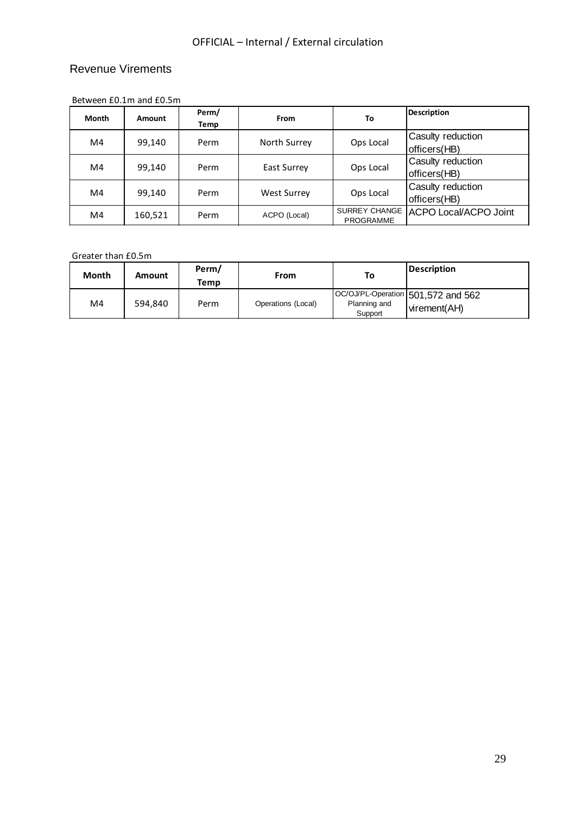#### Revenue Virements

| $DCLWCLII LU.1III$ and $LU.3III$ |         |               |                    |                                          |                                   |
|----------------------------------|---------|---------------|--------------------|------------------------------------------|-----------------------------------|
| Month                            | Amount  | Perm/<br>Temp | From               | To                                       | <b>Description</b>                |
| M4                               | 99,140  | Perm          | North Surrey       | Ops Local                                | Casulty reduction<br>officers(HB) |
| M4                               | 99,140  | Perm          | East Surrey        | Ops Local                                | Casulty reduction<br>officers(HB) |
| M4                               | 99,140  | Perm          | <b>West Surrey</b> | Ops Local                                | Casulty reduction<br>officers(HB) |
| M4                               | 160,521 | Perm          | ACPO (Local)       | <b>SURREY CHANGE</b><br><b>PROGRAMME</b> | <b>ACPO Local/ACPO Joint</b>      |

Between £0.1m and £0.5m

#### Greater than £0.5m

| וווכוסב וושווד וטושוט |                 |      |                    |                         |                                                    |
|-----------------------|-----------------|------|--------------------|-------------------------|----------------------------------------------------|
| <b>Month</b>          | Perm/<br>Amount |      | From               | To                      | <b>Description</b>                                 |
|                       |                 | Temp |                    |                         |                                                    |
| M4                    | 594,840         | Perm | Operations (Local) | Planning and<br>Support | OC/OJ/PL-Operation 501,572 and 562<br>virement(AH) |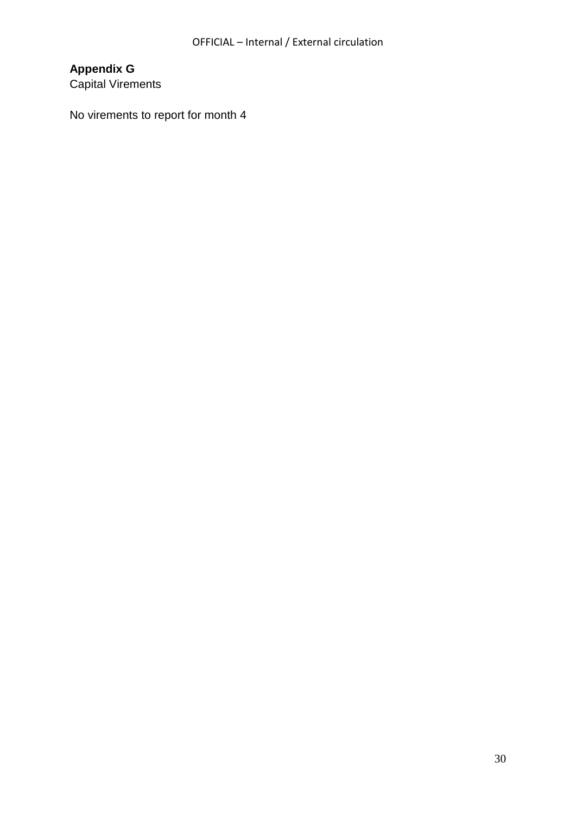# **Appendix G**

Capital Virements

No virements to report for month 4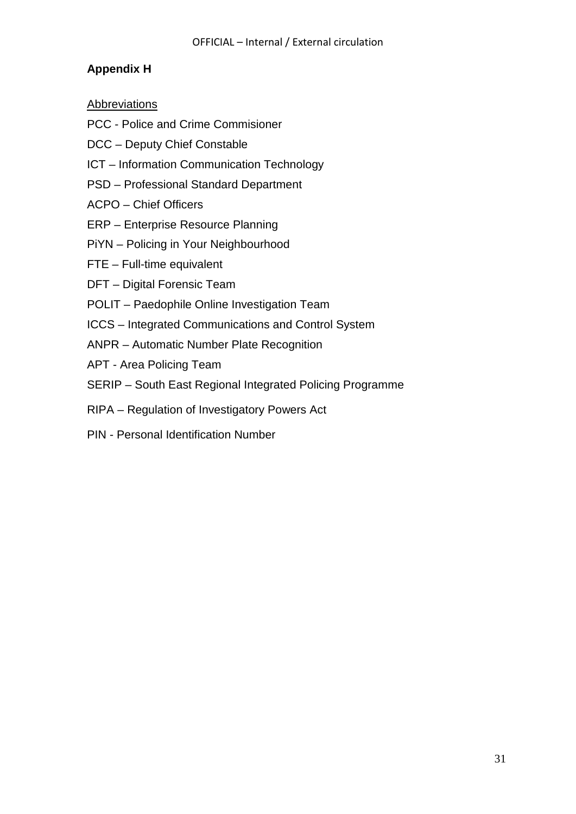### **Appendix H**

### Abbreviations

- PCC Police and Crime Commisioner
- DCC Deputy Chief Constable
- ICT Information Communication Technology
- PSD Professional Standard Department
- ACPO Chief Officers
- ERP Enterprise Resource Planning
- PiYN Policing in Your Neighbourhood
- FTE Full-time equivalent
- DFT Digital Forensic Team
- POLIT Paedophile Online Investigation Team
- ICCS Integrated Communications and Control System
- ANPR Automatic Number Plate Recognition
- APT Area Policing Team
- SERIP South East Regional Integrated Policing Programme
- RIPA Regulation of Investigatory Powers Act
- PIN Personal Identification Number